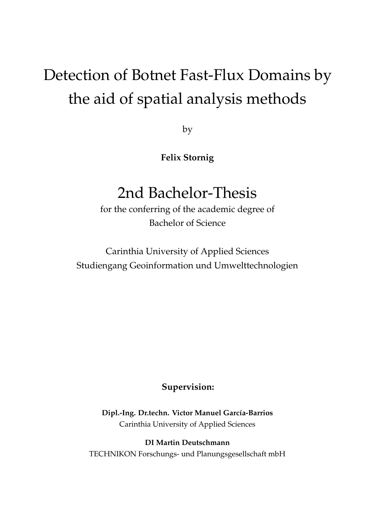# Detection of Botnet Fast-Flux Domains by the aid of spatial analysis methods

by

**Felix Stornig**

## 2nd Bachelor-Thesis

for the conferring of the academic degree of Bachelor of Science

Carinthia University of Applied Sciences Studiengang Geoinformation und Umwelttechnologien

**Supervision:**

**Dipl.-Ing. Dr.techn. Victor Manuel García-Barrios** Carinthia University of Applied Sciences

**DI Martin Deutschmann** TECHNIKON Forschungs- und Planungsgesellschaft mbH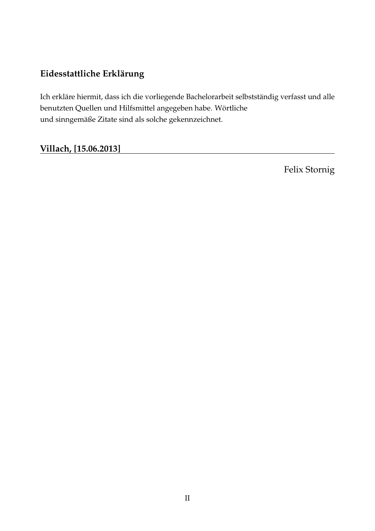## **Eidesstattliche Erklärung**

Ich erkläre hiermit, dass ich die vorliegende Bachelorarbeit selbstständig verfasst und alle benutzten Quellen und Hilfsmittel angegeben habe. Wörtliche und sinngemäße Zitate sind als solche gekennzeichnet.

### **Villach, [15.06.2013]**

Felix Stornig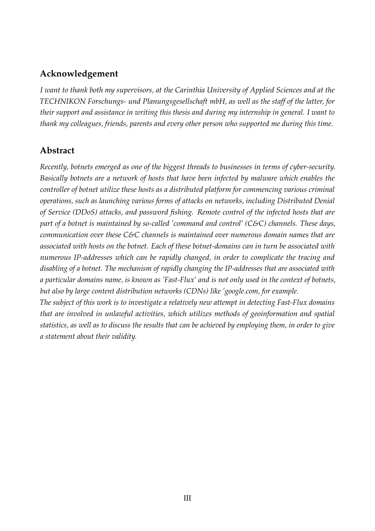#### **Acknowledgement**

*I want to thank both my supervisors, at the Carinthia University of Applied Sciences and at the TECHNIKON Forschungs- und Planungsgesellschaft mbH, as well as the staff of the latter, for their support and assistance in writing this thesis and during my internship in general. I want to thank my colleagues, friends, parents and every other person who supported me during this time.*

### **Abstract**

*Recently, botnets emerged as one of the biggest threads to businesses in terms of cyber-security. Basically botnets are a network of hosts that have been infected by malware which enables the controller of botnet utilize these hosts as a distributed platform for commencing various criminal operations, such as launching various forms of attacks on networks, including Distributed Denial of Service (DDoS) attacks, and password fishing. Remote control of the infected hosts that are part of a botnet is maintained by so-called 'command and control' (C&C) channels. These days, communication over these C&C channels is maintained over numerous domain names that are associated with hosts on the botnet. Each of these botnet-domains can in turn be associated with numerous IP-addresses which can be rapidly changed, in order to complicate the tracing and disabling of a botnet. The mechanism of rapidly changing the IP-addresses that are associated with a particular domains name, is known as 'Fast-Flux' and is not only used in the context of botnets, but also by large content distribution networks (CDNs) like 'google.com, for example.*

*The subject of this work is to investigate a relatively new attempt in detecting Fast-Flux domains that are involved in unlawful activities, which utilizes methods of geoinformation and spatial statistics, as well as to discuss the results that can be achieved by employing them, in order to give a statement about their validity.*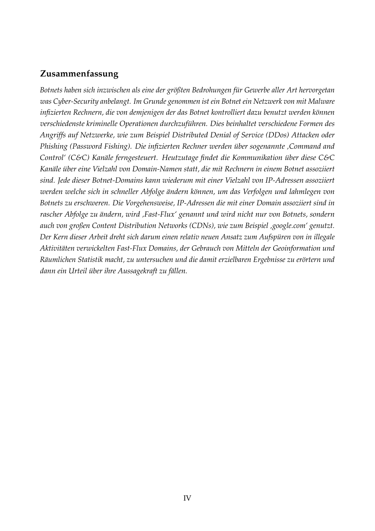#### **Zusammenfassung**

*Botnets haben sich inzwischen als eine der größten Bedrohungen für Gewerbe aller Art hervorgetan was Cyber-Security anbelangt. Im Grunde genommen ist ein Botnet ein Netzwerk von mit Malware infizierten Rechnern, die von demjenigen der das Botnet kontrolliert dazu benutzt werden können verschiedenste kriminelle Operationen durchzuführen. Dies beinhaltet verschiedene Formen des Angriffs auf Netzwerke, wie zum Beispiel Distributed Denial of Service (DDos) Attacken oder Phishing (Password Fishing). Die infizierten Rechner werden über sogenannte 'Command and Control' (C&C) Kanäle ferngesteuert. Heutzutage findet die Kommunikation über diese C&C Kanäle über eine Vielzahl von Domain-Namen statt, die mit Rechnern in einem Botnet assoziiert sind. Jede dieser Botnet-Domains kann wiederum mit einer Vielzahl von IP-Adressen assoziiert werden welche sich in schneller Abfolge ändern können, um das Verfolgen und lahmlegen von Botnets zu erschweren. Die Vorgehensweise, IP-Adressen die mit einer Domain assoziiert sind in rascher Abfolge zu ändern, wird 'Fast-Flux' genannt und wird nicht nur von Botnets, sondern auch von großen Content Distribution Networks (CDNs), wie zum Beispiel 'google.com' genutzt. Der Kern dieser Arbeit dreht sich darum einen relativ neuen Ansatz zum Aufspüren von in illegale Aktivitäten verwickelten Fast-Flux Domains, der Gebrauch von Mitteln der Geoinformation und Räumlichen Statistik macht, zu untersuchen und die damit erzielbaren Ergebnisse zu erörtern und dann ein Urteil über ihre Aussagekraft zu fällen.*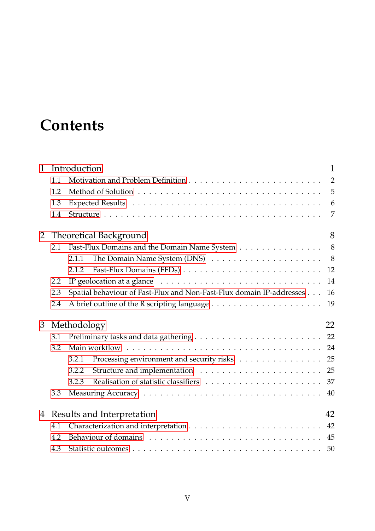## **Contents**

| $\mathbf{1}$   | Introduction                     |                                                                                                |                |  |  |  |  |  |
|----------------|----------------------------------|------------------------------------------------------------------------------------------------|----------------|--|--|--|--|--|
|                | 1.1                              |                                                                                                | $\overline{2}$ |  |  |  |  |  |
|                | 1.2                              |                                                                                                | 5              |  |  |  |  |  |
|                | 1.3                              |                                                                                                | 6              |  |  |  |  |  |
|                | 1.4                              |                                                                                                | 7              |  |  |  |  |  |
| $\overline{2}$ |                                  | <b>Theoretical Background</b>                                                                  | 8              |  |  |  |  |  |
|                | 2.1                              | Fast-Flux Domains and the Domain Name System 8                                                 |                |  |  |  |  |  |
|                |                                  | 2.1.1                                                                                          |                |  |  |  |  |  |
|                |                                  | 2.1.2                                                                                          | 12             |  |  |  |  |  |
|                | 2.2                              | IP geolocation at a glance $\dots \dots \dots \dots \dots \dots \dots \dots \dots \dots \dots$ | 14             |  |  |  |  |  |
|                | 2.3                              | Spatial behaviour of Fast-Flux and Non-Fast-Flux domain IP-addresses                           | 16             |  |  |  |  |  |
|                | 2.4                              |                                                                                                | 19             |  |  |  |  |  |
| 3              | 22<br>Methodology                |                                                                                                |                |  |  |  |  |  |
|                | 3.1                              |                                                                                                |                |  |  |  |  |  |
|                | 3.2                              |                                                                                                |                |  |  |  |  |  |
|                |                                  | Processing environment and security risks 25<br>3.2.1                                          |                |  |  |  |  |  |
|                |                                  | 3.2.2                                                                                          |                |  |  |  |  |  |
|                |                                  | 3.2.3                                                                                          |                |  |  |  |  |  |
|                | 3.3                              |                                                                                                | 40             |  |  |  |  |  |
| 4              | 42<br>Results and Interpretation |                                                                                                |                |  |  |  |  |  |
|                | 4.1                              | 42                                                                                             |                |  |  |  |  |  |
|                | 4.2                              |                                                                                                |                |  |  |  |  |  |
|                | 4.3                              |                                                                                                | 50             |  |  |  |  |  |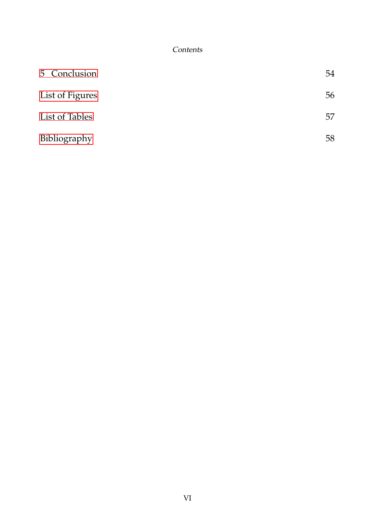**Contents** 

| 5 Conclusion    | 54 |
|-----------------|----|
| List of Figures | 56 |
| List of Tables  | 57 |
| Bibliography    | 58 |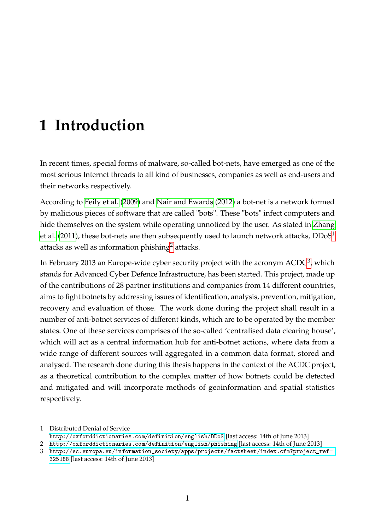<span id="page-6-0"></span>In recent times, special forms of malware, so-called bot-nets, have emerged as one of the most serious Internet threads to all kind of businesses, companies as well as end-users and their networks respectively.

According to [Feily et al.](#page-51-1) [\(2009\)](#page-51-1) and [Nair and Ewards](#page-51-2) [\(2012\)](#page-51-2) a bot-net is a network formed by malicious pieces of software that are called "bots". These "bots" infect computers and hide themselves on the system while operating unnoticed by the user. As stated in [Zhang](#page-52-0) [et al.](#page-52-0) [\(2011\)](#page-52-0), these bot-nets are then subsequently used to launch network attacks,  $DDoS<sup>1</sup>$  $DDoS<sup>1</sup>$  $DDoS<sup>1</sup>$ attacks as well as information phishing<sup>[2](#page-6-2)</sup> attacks.

In February 201[3](#page-6-3) an Europe-wide cyber security project with the acronym  $\mathrm{ACDC}^3$ , which stands for Advanced Cyber Defence Infrastructure, has been started. This project, made up of the contributions of 28 partner institutions and companies from 14 different countries, aims to fight botnets by addressing issues of identification, analysis, prevention, mitigation, recovery and evaluation of those. The work done during the project shall result in a number of anti-botnet services of different kinds, which are to be operated by the member states. One of these services comprises of the so-called 'centralised data clearing house', which will act as a central information hub for anti-botnet actions, where data from a wide range of different sources will aggregated in a common data format, stored and analysed. The research done during this thesis happens in the context of the ACDC project, as a theoretical contribution to the complex matter of how botnets could be detected and mitigated and will incorporate methods of geoinformation and spatial statistics respectively.

<span id="page-6-1"></span><sup>1</sup> Distributed Denial of Service

<http://oxforddictionaries.com/definition/english/DDoS> [last access: 14th of June 2013]

<span id="page-6-2"></span><sup>2</sup> <http://oxforddictionaries.com/definition/english/phishing> [last access: 14th of June 2013]

<span id="page-6-3"></span><sup>3</sup> [http://ec.europa.eu/information\\_society/apps/projects/factsheet/index.cfm?project\\_ref=](http://ec.europa.eu/information_society/apps/projects/factsheet/index.cfm?project_ref=325188) [325188](http://ec.europa.eu/information_society/apps/projects/factsheet/index.cfm?project_ref=325188) [last access: 14th of June 2013]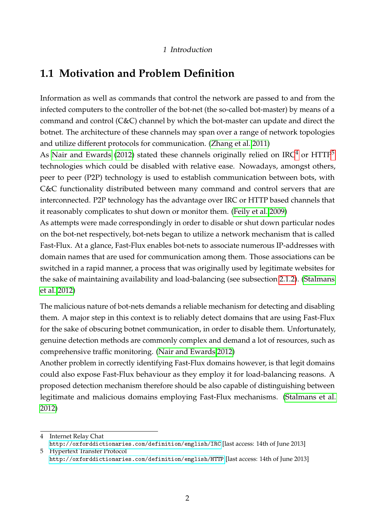### <span id="page-7-0"></span>**1.1 Motivation and Problem Definition**

Information as well as commands that control the network are passed to and from the infected computers to the controller of the bot-net (the so-called bot-master) by means of a command and control (C&C) channel by which the bot-master can update and direct the botnet. The architecture of these channels may span over a range of network topologies and utilize different protocols for communication. [\(Zhang et al. 2011\)](#page-52-0)

As [Nair and Ewards](#page-51-2) [\(2012\)](#page-51-2) stated these channels originally relied on IRC<sup>[4](#page-7-1)</sup> or HTTP<sup>[5](#page-7-2)</sup> technologies which could be disabled with relative ease. Nowadays, amongst others, peer to peer (P2P) technology is used to establish communication between bots, with C&C functionality distributed between many command and control servers that are interconnected. P2P technology has the advantage over IRC or HTTP based channels that it reasonably complicates to shut down or monitor them. [\(Feily et al. 2009\)](#page-51-1)

As attempts were made correspondingly in order to disable or shut down particular nodes on the bot-net respectively, bot-nets began to utilize a network mechanism that is called Fast-Flux. At a glance, Fast-Flux enables bot-nets to associate numerous IP-addresses with domain names that are used for communication among them. Those associations can be switched in a rapid manner, a process that was originally used by legitimate websites for the sake of maintaining availability and load-balancing (see subsection [2.1.2\)](#page-15-0). [\(Stalmans](#page-52-1) [et al. 2012\)](#page-52-1)

The malicious nature of bot-nets demands a reliable mechanism for detecting and disabling them. A major step in this context is to reliably detect domains that are using Fast-Flux for the sake of obscuring botnet communication, in order to disable them. Unfortunately, genuine detection methods are commonly complex and demand a lot of resources, such as comprehensive traffic monitoring. [\(Nair and Ewards 2012\)](#page-51-2)

Another problem in correctly identifying Fast-Flux domains however, is that legit domains could also expose Fast-Flux behaviour as they employ it for load-balancing reasons. A proposed detection mechanism therefore should be also capable of distinguishing between legitimate and malicious domains employing Fast-Flux mechanisms. [\(Stalmans et al.](#page-52-1) [2012\)](#page-52-1)

<span id="page-7-1"></span><sup>4</sup> Internet Relay Chat <http://oxforddictionaries.com/definition/english/IRC> [last access: 14th of June 2013] 5 Hypertext Transfer Protocol

<span id="page-7-2"></span><http://oxforddictionaries.com/definition/english/HTTP> [last access: 14th of June 2013]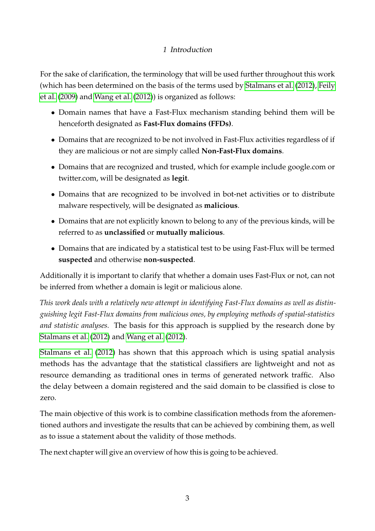For the sake of clarification, the terminology that will be used further throughout this work (which has been determined on the basis of the terms used by [Stalmans et al.](#page-52-1) [\(2012\)](#page-52-1), [Feily](#page-51-1) [et al.](#page-51-1) [\(2009\)](#page-51-1) and [Wang et al.](#page-52-2) [\(2012\)](#page-52-2)) is organized as follows:

- Domain names that have a Fast-Flux mechanism standing behind them will be henceforth designated as **Fast-Flux domains (FFDs)**.
- Domains that are recognized to be not involved in Fast-Flux activities regardless of if they are malicious or not are simply called **Non-Fast-Flux domains**.
- Domains that are recognized and trusted, which for example include google.com or twitter.com, will be designated as **legit**.
- Domains that are recognized to be involved in bot-net activities or to distribute malware respectively, will be designated as **malicious**.
- Domains that are not explicitly known to belong to any of the previous kinds, will be referred to as **unclassified** or **mutually malicious**.
- Domains that are indicated by a statistical test to be using Fast-Flux will be termed **suspected** and otherwise **non-suspected**.

Additionally it is important to clarify that whether a domain uses Fast-Flux or not, can not be inferred from whether a domain is legit or malicious alone.

*This work deals with a relatively new attempt in identifying Fast-Flux domains as well as distinguishing legit Fast-Flux domains from malicious ones, by employing methods of spatial-statistics and statistic analyses.* The basis for this approach is supplied by the research done by [Stalmans et al.](#page-52-1) [\(2012\)](#page-52-1) and [Wang et al.](#page-52-2) [\(2012\)](#page-52-2).

[Stalmans et al.](#page-52-1) [\(2012\)](#page-52-1) has shown that this approach which is using spatial analysis methods has the advantage that the statistical classifiers are lightweight and not as resource demanding as traditional ones in terms of generated network traffic. Also the delay between a domain registered and the said domain to be classified is close to zero.

The main objective of this work is to combine classification methods from the aforementioned authors and investigate the results that can be achieved by combining them, as well as to issue a statement about the validity of those methods.

The next chapter will give an overview of how this is going to be achieved.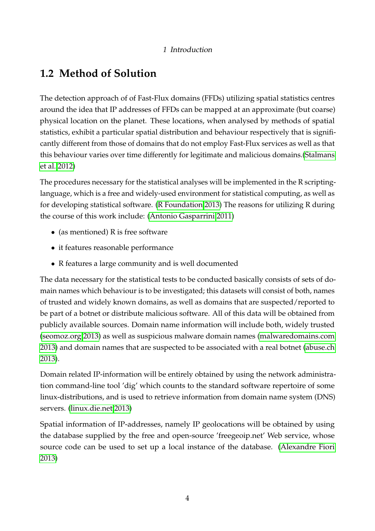## <span id="page-9-0"></span>**1.2 Method of Solution**

The detection approach of of Fast-Flux domains (FFDs) utilizing spatial statistics centres around the idea that IP addresses of FFDs can be mapped at an approximate (but coarse) physical location on the planet. These locations, when analysed by methods of spatial statistics, exhibit a particular spatial distribution and behaviour respectively that is significantly different from those of domains that do not employ Fast-Flux services as well as that this behaviour varies over time differently for legitimate and malicious domains.[\(Stalmans](#page-52-1) [et al. 2012\)](#page-52-1)

The procedures necessary for the statistical analyses will be implemented in the R scriptinglanguage, which is a free and widely-used environment for statistical computing, as well as for developing statistical software. [\(R Foundation 2013\)](#page-52-3) The reasons for utilizing R during the course of this work include: [\(Antonio Gasparrini 2011\)](#page-51-3)

- (as mentioned)  $R$  is free software
- it features reasonable performance
- R features a large community and is well documented

The data necessary for the statistical tests to be conducted basically consists of sets of domain names which behaviour is to be investigated; this datasets will consist of both, names of trusted and widely known domains, as well as domains that are suspected/reported to be part of a botnet or distribute malicious software. All of this data will be obtained from publicly available sources. Domain name information will include both, widely trusted [\(seomoz.org 2013\)](#page-52-4) as well as suspicious malware domain names [\(malwaredomains.com](#page-51-4) [2013\)](#page-51-4) and domain names that are suspected to be associated with a real botnet [\(abuse.ch](#page-51-5) [2013\)](#page-51-5).

Domain related IP-information will be entirely obtained by using the network administration command-line tool 'dig' which counts to the standard software repertoire of some linux-distributions, and is used to retrieve information from domain name system (DNS) servers. [\(linux.die.net 2013\)](#page-51-6)

Spatial information of IP-addresses, namely IP geolocations will be obtained by using the database supplied by the free and open-source 'freegeoip.net' Web service, whose source code can be used to set up a local instance of the database. [\(Alexandre Fiori](#page-51-7) [2013\)](#page-51-7)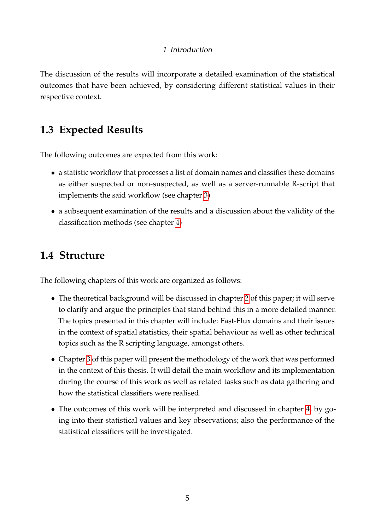The discussion of the results will incorporate a detailed examination of the statistical outcomes that have been achieved, by considering different statistical values in their respective context.

## <span id="page-10-0"></span>**1.3 Expected Results**

The following outcomes are expected from this work:

- a statistic workflow that processes a list of domain names and classifies these domains as either suspected or non-suspected, as well as a server-runnable R-script that implements the said workflow (see chapter [3\)](#page-23-0)
- a subsequent examination of the results and a discussion about the validity of the classification methods (see chapter [4\)](#page-38-0)

## <span id="page-10-1"></span>**1.4 Structure**

The following chapters of this work are organized as follows:

- The theoretical background will be discussed in chapter [2](#page-12-0) of this paper; it will serve to clarify and argue the principles that stand behind this in a more detailed manner. The topics presented in this chapter will include: Fast-Flux domains and their issues in the context of spatial statistics, their spatial behaviour as well as other technical topics such as the R scripting language, amongst others.
- Chapter [3](#page-23-0) of this paper will present the methodology of the work that was performed in the context of this thesis. It will detail the main workflow and its implementation during the course of this work as well as related tasks such as data gathering and how the statistical classifiers were realised.
- The outcomes of this work will be interpreted and discussed in chapter [4,](#page-38-0) by going into their statistical values and key observations; also the performance of the statistical classifiers will be investigated.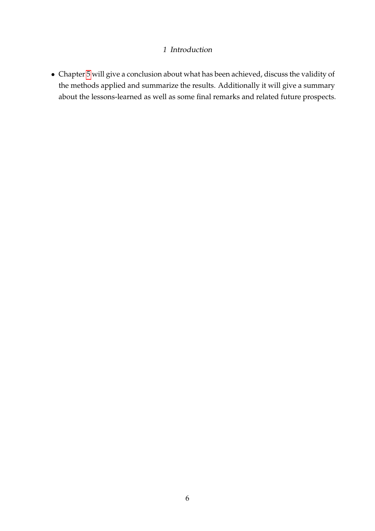• Chapter [5](#page-47-0) will give a conclusion about what has been achieved, discuss the validity of the methods applied and summarize the results. Additionally it will give a summary about the lessons-learned as well as some final remarks and related future prospects.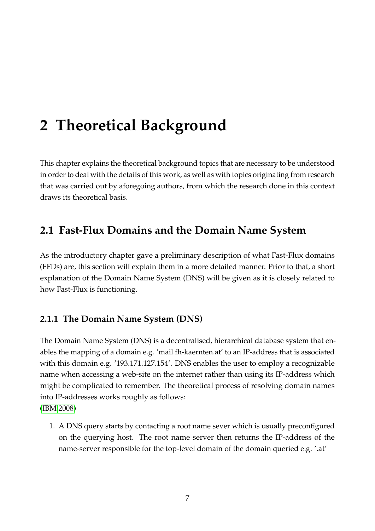<span id="page-12-0"></span>This chapter explains the theoretical background topics that are necessary to be understood in order to deal with the details of this work, as well as with topics originating from research that was carried out by aforegoing authors, from which the research done in this context draws its theoretical basis.

## <span id="page-12-1"></span>**2.1 Fast-Flux Domains and the Domain Name System**

As the introductory chapter gave a preliminary description of what Fast-Flux domains (FFDs) are, this section will explain them in a more detailed manner. Prior to that, a short explanation of the Domain Name System (DNS) will be given as it is closely related to how Fast-Flux is functioning.

### <span id="page-12-2"></span>**2.1.1 The Domain Name System (DNS)**

The Domain Name System (DNS) is a decentralised, hierarchical database system that enables the mapping of a domain e.g. 'mail.fh-kaernten.at' to an IP-address that is associated with this domain e.g. '193.171.127.154'. DNS enables the user to employ a recognizable name when accessing a web-site on the internet rather than using its IP-address which might be complicated to remember. The theoretical process of resolving domain names into IP-addresses works roughly as follows: [\(IBM 2008\)](#page-51-8)

1. A DNS query starts by contacting a root name sever which is usually preconfigured on the querying host. The root name server then returns the IP-address of the name-server responsible for the top-level domain of the domain queried e.g. '.at'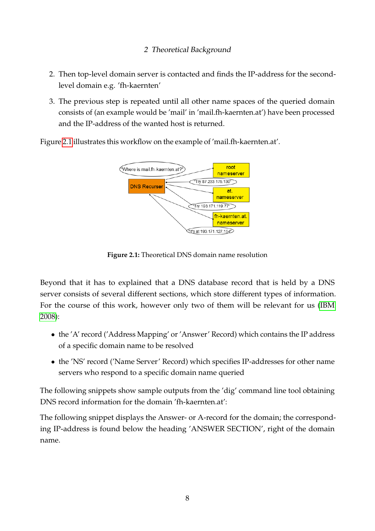- 2. Then top-level domain server is contacted and finds the IP-address for the secondlevel domain e.g. 'fh-kaernten'
- 3. The previous step is repeated until all other name spaces of the queried domain consists of (an example would be 'mail' in 'mail.fh-kaernten.at') have been processed and the IP-address of the wanted host is returned.

<span id="page-13-0"></span>Figure [2.1](#page-13-0) illustrates this workflow on the example of 'mail.fh-kaernten.at'.



**Figure 2.1:** Theoretical DNS domain name resolution

Beyond that it has to explained that a DNS database record that is held by a DNS server consists of several different sections, which store different types of information. For the course of this work, however only two of them will be relevant for us [\(IBM](#page-51-8) [2008\)](#page-51-8):

- the 'A' record ('Address Mapping' or 'Answer' Record) which contains the IP address of a specific domain name to be resolved
- the 'NS' record ('Name Server' Record) which specifies IP-addresses for other name servers who respond to a specific domain name queried

The following snippets show sample outputs from the 'dig' command line tool obtaining DNS record information for the domain 'fh-kaernten.at':

The following snippet displays the Answer- or A-record for the domain; the corresponding IP-address is found below the heading 'ANSWER SECTION', right of the domain name.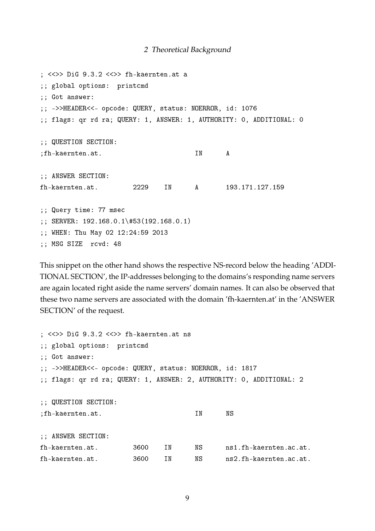```
; <<>> DiG 9.3.2 <<>> fh-kaernten.at a
;; global options: printcmd
;; Got answer:
;; ->>HEADER<<- opcode: QUERY, status: NOERROR, id: 1076
;; flags: qr rd ra; QUERY: 1, ANSWER: 1, AUTHORITY: 0, ADDITIONAL: 0
;; QUESTION SECTION:
;fh-kaernten.at. IN A
;; ANSWER SECTION:
fh-kaernten.at. 2229 IN A 193.171.127.159
;; Query time: 77 msec
;; SERVER: 192.168.0.1\#53(192.168.0.1)
;; WHEN: Thu May 02 12:24:59 2013
;; MSG SIZE rcvd: 48
```
This snippet on the other hand shows the respective NS-record below the heading 'ADDI-TIONAL SECTION', the IP-addresses belonging to the domains's responding name servers are again located right aside the name servers' domain names. It can also be observed that these two name servers are associated with the domain 'fh-kaernten.at' in the 'ANSWER SECTION' of the request.

```
; <<>> DiG 9.3.2 <<>> fh-kaernten.at ns
;; global options: printcmd
;; Got answer:
;; ->>HEADER<<- opcode: QUERY, status: NOERROR, id: 1817
;; flags: qr rd ra; QUERY: 1, ANSWER: 2, AUTHORITY: 0, ADDITIONAL: 2
;; QUESTION SECTION:
;fh-kaernten.at. IN NS
;; ANSWER SECTION:
fh-kaernten.at. 3600 IN NS ns1.fh-kaernten.ac.at.
fh-kaernten.at. 3600 IN NS ns2.fh-kaernten.ac.at.
```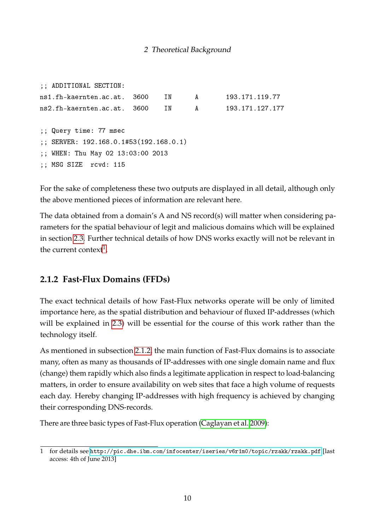```
;; ADDITIONAL SECTION:
ns1.fh-kaernten.ac.at. 3600 IN A 193.171.119.77
ns2.fh-kaernten.ac.at. 3600 IN A 193.171.127.177
;; Query time: 77 msec
;; SERVER: 192.168.0.1#53(192.168.0.1)
;; WHEN: Thu May 02 13:03:00 2013
;; MSG SIZE rcvd: 115
```
For the sake of completeness these two outputs are displayed in all detail, although only the above mentioned pieces of information are relevant here.

The data obtained from a domain's A and NS record(s) will matter when considering parameters for the spatial behaviour of legit and malicious domains which will be explained in section [2.3.](#page-18-0) Further technical details of how DNS works exactly will not be relevant in the current context<sup>[1](#page-15-1)</sup>.

#### <span id="page-15-0"></span>**2.1.2 Fast-Flux Domains (FFDs)**

The exact technical details of how Fast-Flux networks operate will be only of limited importance here, as the spatial distribution and behaviour of fluxed IP-addresses (which will be explained in [2.3\)](#page-18-0) will be essential for the course of this work rather than the technology itself.

As mentioned in subsection [2.1.2,](#page-15-0) the main function of Fast-Flux domains is to associate many, often as many as thousands of IP-addresses with one single domain name and flux (change) them rapidly which also finds a legitimate application in respect to load-balancing matters, in order to ensure availability on web sites that face a high volume of requests each day. Hereby changing IP-addresses with high frequency is achieved by changing their corresponding DNS-records.

There are three basic types of Fast-Flux operation [\(Caglayan et al. 2009\)](#page-51-9):

<span id="page-15-1"></span><sup>1</sup> for details see <http://pic.dhe.ibm.com/infocenter/iseries/v6r1m0/topic/rzakk/rzakk.pdf> [last access: 4th of June 2013]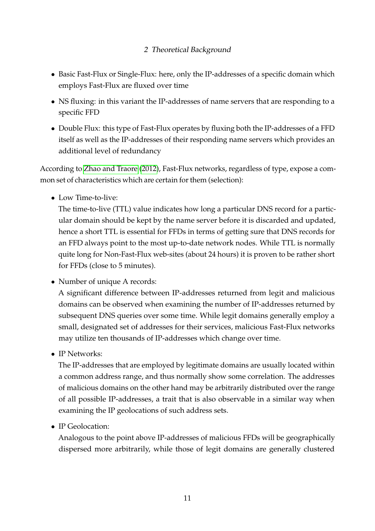- Basic Fast-Flux or Single-Flux: here, only the IP-addresses of a specific domain which employs Fast-Flux are fluxed over time
- NS fluxing: in this variant the IP-addresses of name servers that are responding to a specific FFD
- Double Flux: this type of Fast-Flux operates by fluxing both the IP-addresses of a FFD itself as well as the IP-addresses of their responding name servers which provides an additional level of redundancy

According to [Zhao and Traore](#page-52-5) [\(2012\)](#page-52-5), Fast-Flux networks, regardless of type, expose a common set of characteristics which are certain for them (selection):

• Low Time-to-live:

The time-to-live (TTL) value indicates how long a particular DNS record for a particular domain should be kept by the name server before it is discarded and updated, hence a short TTL is essential for FFDs in terms of getting sure that DNS records for an FFD always point to the most up-to-date network nodes. While TTL is normally quite long for Non-Fast-Flux web-sites (about 24 hours) it is proven to be rather short for FFDs (close to 5 minutes).

• Number of unique A records:

A significant difference between IP-addresses returned from legit and malicious domains can be observed when examining the number of IP-addresses returned by subsequent DNS queries over some time. While legit domains generally employ a small, designated set of addresses for their services, malicious Fast-Flux networks may utilize ten thousands of IP-addresses which change over time.

• IP Networks:

The IP-addresses that are employed by legitimate domains are usually located within a common address range, and thus normally show some correlation. The addresses of malicious domains on the other hand may be arbitrarily distributed over the range of all possible IP-addresses, a trait that is also observable in a similar way when examining the IP geolocations of such address sets.

• IP Geolocation:

Analogous to the point above IP-addresses of malicious FFDs will be geographically dispersed more arbitrarily, while those of legit domains are generally clustered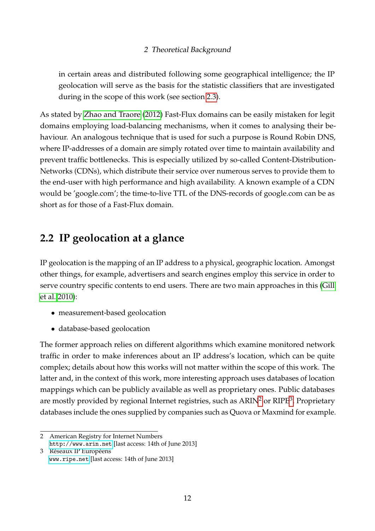in certain areas and distributed following some geographical intelligence; the IP geolocation will serve as the basis for the statistic classifiers that are investigated during in the scope of this work (see section [2.3\)](#page-18-0).

As stated by [Zhao and Traore](#page-52-5) [\(2012\)](#page-52-5) Fast-Flux domains can be easily mistaken for legit domains employing load-balancing mechanisms, when it comes to analysing their behaviour. An analogous technique that is used for such a purpose is Round Robin DNS, where IP-addresses of a domain are simply rotated over time to maintain availability and prevent traffic bottlenecks. This is especially utilized by so-called Content-Distribution-Networks (CDNs), which distribute their service over numerous serves to provide them to the end-user with high performance and high availability. A known example of a CDN would be 'google.com'; the time-to-live TTL of the DNS-records of google.com can be as short as for those of a Fast-Flux domain.

## <span id="page-17-0"></span>**2.2 IP geolocation at a glance**

IP geolocation is the mapping of an IP address to a physical, geographic location. Amongst other things, for example, advertisers and search engines employ this service in order to serve country specific contents to end users. There are two main approaches in this [\(Gill](#page-51-10) [et al. 2010\)](#page-51-10):

- measurement-based geolocation
- database-based geolocation

The former approach relies on different algorithms which examine monitored network traffic in order to make inferences about an IP address's location, which can be quite complex; details about how this works will not matter within the scope of this work. The latter and, in the context of this work, more interesting approach uses databases of location mappings which can be publicly available as well as proprietary ones. Public databases are mostly provided by regional Internet registries, such as  $\text{ARIN}^2$  $\text{ARIN}^2$  or  $\text{RIPE}^3$  $\text{RIPE}^3$ . Proprietary databases include the ones supplied by companies such as Quova or Maxmind for example.

<span id="page-17-1"></span><sup>2</sup> American Registry for Internet Numbers <http://www.arin.net> [last access: 14th of June 2013]

<span id="page-17-2"></span><sup>3</sup> Réseaux IP Européens [www.ripe.net](http://www.bretschneidernet.de/tips/thesislatex.htmlwww.ripe.net) [last access: 14th of June 2013]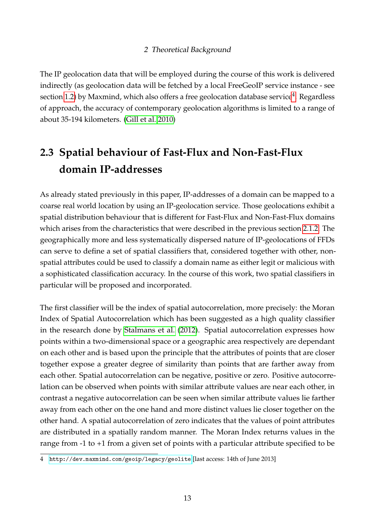The IP geolocation data that will be employed during the course of this work is delivered indirectly (as geolocation data will be fetched by a local FreeGeoIP service instance - see section [1.2\)](#page-9-0) by Maxmind, which also offers a free geolocation database service $^4$  $^4$ . Regardless of approach, the accuracy of contemporary geolocation algorithms is limited to a range of about 35-194 kilometers. [\(Gill et al. 2010\)](#page-51-10)

## <span id="page-18-0"></span>**2.3 Spatial behaviour of Fast-Flux and Non-Fast-Flux domain IP-addresses**

As already stated previously in this paper, IP-addresses of a domain can be mapped to a coarse real world location by using an IP-geolocation service. Those geolocations exhibit a spatial distribution behaviour that is different for Fast-Flux and Non-Fast-Flux domains which arises from the characteristics that were described in the previous section [2.1.2.](#page-15-0) The geographically more and less systematically dispersed nature of IP-geolocations of FFDs can serve to define a set of spatial classifiers that, considered together with other, nonspatial attributes could be used to classify a domain name as either legit or malicious with a sophisticated classification accuracy. In the course of this work, two spatial classifiers in particular will be proposed and incorporated.

The first classifier will be the index of spatial autocorrelation, more precisely: the Moran Index of Spatial Autocorrelation which has been suggested as a high quality classifier in the research done by [Stalmans et al.](#page-52-1) [\(2012\)](#page-52-1). Spatial autocorrelation expresses how points within a two-dimensional space or a geographic area respectively are dependant on each other and is based upon the principle that the attributes of points that are closer together expose a greater degree of similarity than points that are farther away from each other. Spatial autocorrelation can be negative, positive or zero. Positive autocorrelation can be observed when points with similar attribute values are near each other, in contrast a negative autocorrelation can be seen when similar attribute values lie farther away from each other on the one hand and more distinct values lie closer together on the other hand. A spatial autocorrelation of zero indicates that the values of point attributes are distributed in a spatially random manner. The Moran Index returns values in the range from -1 to +1 from a given set of points with a particular attribute specified to be

<span id="page-18-1"></span><sup>4</sup> <http://dev.maxmind.com/geoip/legacy/geolite> [last access: 14th of June 2013]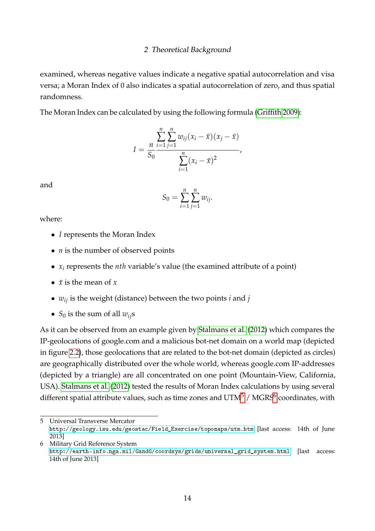examined, whereas negative values indicate a negative spatial autocorrelation and visa versa; a Moran Index of 0 also indicates a spatial autocorrelation of zero, and thus spatial randomness.

The Moran Index can be calculated by using the following formula [\(Griffith 2009\)](#page-51-11):

$$
I = \frac{\sum_{i=1}^{n} \sum_{j=1}^{n} w_{ij} (x_i - \bar{x})(x_j - \bar{x})}{\sum_{i=1}^{n} (x_i - \bar{x})^2},
$$

and

$$
S_0 = \sum_{i=1}^n \sum_{j=1}^n w_{ij}.
$$

where:

- *I* represents the Moran Index
- *n* is the number of observed points
- *x<sup>i</sup>* represents the *nth* variable's value (the examined attribute of a point)
- $\bar{x}$  is the mean of  $\bar{x}$
- $w_{ij}$  is the weight (distance) between the two points *i* and *j*
- $S_0$  is the sum of all  $w_{ij}$ s

As it can be observed from an example given by [Stalmans et al.](#page-52-1) [\(2012\)](#page-52-1) which compares the IP-geolocations of google.com and a malicious bot-net domain on a world map (depicted in figure [2.2\)](#page-20-0), those geolocations that are related to the bot-net domain (depicted as circles) are geographically distributed over the whole world, whereas google.com IP-addresses (depicted by a triangle) are all concentrated on one point (Mountain-View, California, USA). [Stalmans et al.](#page-52-1) [\(2012\)](#page-52-1) tested the results of Moran Index calculations by using several different spatial attribute values, such as time zones and  $\mathrm{UTM}^5$  $\mathrm{UTM}^5$  /  $\mathrm{MGRS}^6$  $\mathrm{MGRS}^6$  coordinates, with

<span id="page-19-0"></span><sup>5</sup> Universal Transverse Mercator

[http://geology.isu.edu/geostac/Field\\_Exercise/topomaps/utm.htm](http://geology.isu.edu/geostac/Field_Exercise/topomaps/utm.htm) [last access: 14th of June 2013]

<span id="page-19-1"></span><sup>6</sup> Military Grid Reference System [http://earth-info.nga.mil/GandG/coordsys/grids/universal\\_grid\\_system.html](http://earth-info.nga.mil/GandG/coordsys/grids/universal_grid_system.html) [last access: 14th of June 2013]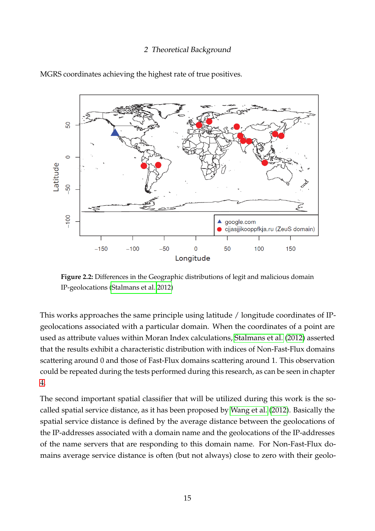<span id="page-20-0"></span>

MGRS coordinates achieving the highest rate of true positives.

**Figure 2.2:** Differences in the Geographic distributions of legit and malicious domain IP-geolocations [\(Stalmans et al. 2012\)](#page-52-1)

This works approaches the same principle using latitude / longitude coordinates of IPgeolocations associated with a particular domain. When the coordinates of a point are used as attribute values within Moran Index calculations, [Stalmans et al.](#page-52-1) [\(2012\)](#page-52-1) asserted that the results exhibit a characteristic distribution with indices of Non-Fast-Flux domains scattering around 0 and those of Fast-Flux domains scattering around 1. This observation could be repeated during the tests performed during this research, as can be seen in chapter [4.](#page-38-0)

The second important spatial classifier that will be utilized during this work is the socalled spatial service distance, as it has been proposed by [Wang et al.](#page-52-2) [\(2012\)](#page-52-2). Basically the spatial service distance is defined by the average distance between the geolocations of the IP-addresses associated with a domain name and the geolocations of the IP-addresses of the name servers that are responding to this domain name. For Non-Fast-Flux domains average service distance is often (but not always) close to zero with their geolo-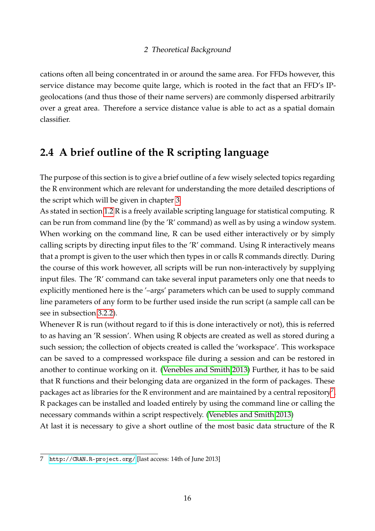cations often all being concentrated in or around the same area. For FFDs however, this service distance may become quite large, which is rooted in the fact that an FFD's IPgeolocations (and thus those of their name servers) are commonly dispersed arbitrarily over a great area. Therefore a service distance value is able to act as a spatial domain classifier.

## <span id="page-21-0"></span>**2.4 A brief outline of the R scripting language**

The purpose of this section is to give a brief outline of a few wisely selected topics regarding the R environment which are relevant for understanding the more detailed descriptions of the script which will be given in chapter [3.](#page-23-0)

As stated in section [1.2](#page-9-0) R is a freely available scripting language for statistical computing. R can be run from command line (by the 'R' command) as well as by using a window system. When working on the command line, R can be used either interactively or by simply calling scripts by directing input files to the 'R' command. Using R interactively means that a prompt is given to the user which then types in or calls R commands directly. During the course of this work however, all scripts will be run non-interactively by supplying input files. The 'R' command can take several input parameters only one that needs to explicitly mentioned here is the '–args' parameters which can be used to supply command line parameters of any form to be further used inside the run script (a sample call can be see in subsection [3.2.2\)](#page-25-2).

Whenever R is run (without regard to if this is done interactively or not), this is referred to as having an 'R session'. When using R objects are created as well as stored during a such session; the collection of objects created is called the 'workspace'. This workspace can be saved to a compressed workspace file during a session and can be restored in another to continue working on it. [\(Venebles and Smith 2013\)](#page-52-6) Further, it has to be said that R functions and their belonging data are organized in the form of packages. These packages act as libraries for the R environment and are maintained by a central repository<sup>[7](#page-21-1)</sup>. R packages can be installed and loaded entirely by using the command line or calling the necessary commands within a script respectively. [\(Venebles and Smith 2013\)](#page-52-6)

At last it is necessary to give a short outline of the most basic data structure of the R

<span id="page-21-1"></span><sup>7</sup> <http://CRAN.R-project.org/> [last access: 14th of June 2013]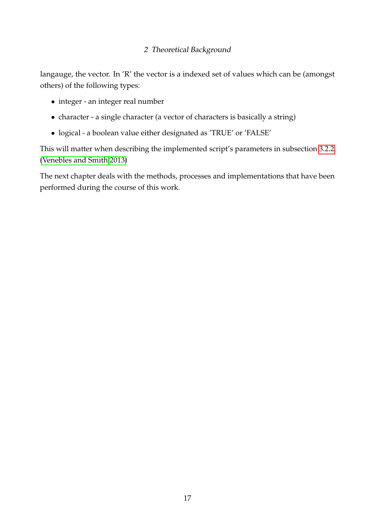langauge, the vector. In 'R' the vector is a indexed set of values which can be (amongst others) of the following types:

- integer an integer real number
- character a single character (a vector of characters is basically a string)
- logical a boolean value either designated as 'TRUE' or 'FALSE'

This will matter when describing the implemented script's parameters in subsection [3.2.2.](#page-25-2) [\(Venebles and Smith 2013\)](#page-52-6)

The next chapter deals with the methods, processes and implementations that have been performed during the course of this work.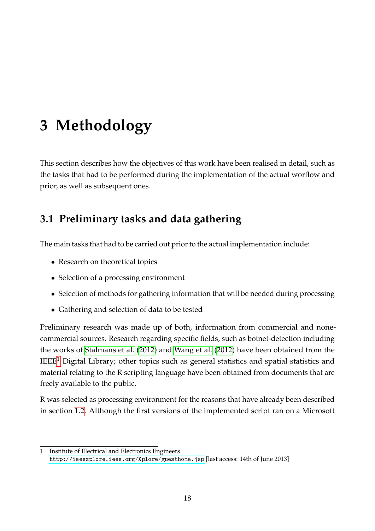<span id="page-23-0"></span>This section describes how the objectives of this work have been realised in detail, such as the tasks that had to be performed during the implementation of the actual worflow and prior, as well as subsequent ones.

## <span id="page-23-1"></span>**3.1 Preliminary tasks and data gathering**

The main tasks that had to be carried out prior to the actual implementation include:

- Research on theoretical topics
- Selection of a processing environment
- Selection of methods for gathering information that will be needed during processing
- Gathering and selection of data to be tested

Preliminary research was made up of both, information from commercial and nonecommercial sources. Research regarding specific fields, such as botnet-detection including the works of [Stalmans et al.](#page-52-1) [\(2012\)](#page-52-1) and [Wang et al.](#page-52-2) [\(2012\)](#page-52-2) have been obtained from the  $IEEE<sup>1</sup>$  $IEEE<sup>1</sup>$  $IEEE<sup>1</sup>$  Digital Library; other topics such as general statistics and spatial statistics and material relating to the R scripting language have been obtained from documents that are freely available to the public.

R was selected as processing environment for the reasons that have already been described in section [1.2.](#page-9-0) Although the first versions of the implemented script ran on a Microsoft

<span id="page-23-2"></span><sup>1</sup> Institute of Electrical and Electronics Engineers

<http://ieeexplore.ieee.org/Xplore/guesthome.jsp> [last access: 14th of June 2013]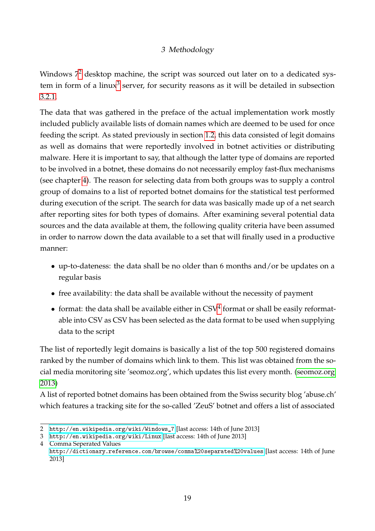Windows  $7<sup>2</sup>$  $7<sup>2</sup>$  $7<sup>2</sup>$  desktop machine, the script was sourced out later on to a dedicated sys-tem in form of a linux<sup>[3](#page-24-1)</sup> server, for security reasons as it will be detailed in subsection [3.2.1.](#page-25-1)

The data that was gathered in the preface of the actual implementation work mostly included publicly available lists of domain names which are deemed to be used for once feeding the script. As stated previously in section [1.2,](#page-9-0) this data consisted of legit domains as well as domains that were reportedly involved in botnet activities or distributing malware. Here it is important to say, that although the latter type of domains are reported to be involved in a botnet, these domains do not necessarily employ fast-flux mechanisms (see chapter [4\)](#page-38-0). The reason for selecting data from both groups was to supply a control group of domains to a list of reported botnet domains for the statistical test performed during execution of the script. The search for data was basically made up of a net search after reporting sites for both types of domains. After examining several potential data sources and the data available at them, the following quality criteria have been assumed in order to narrow down the data available to a set that will finally used in a productive manner:

- up-to-dateness: the data shall be no older than 6 months and/or be updates on a regular basis
- free availability: the data shall be available without the necessity of payment
- format: the data shall be available either in  $\text{CSV}^4$  $\text{CSV}^4$  format or shall be easily reformatable into CSV as CSV has been selected as the data format to be used when supplying data to the script

The list of reportedly legit domains is basically a list of the top 500 registered domains ranked by the number of domains which link to them. This list was obtained from the social media monitoring site 'seomoz.org', which updates this list every month. [\(seomoz.org](#page-52-4) [2013\)](#page-52-4)

A list of reported botnet domains has been obtained from the Swiss security blog 'abuse.ch' which features a tracking site for the so-called 'ZeuS' botnet and offers a list of associated

<span id="page-24-0"></span><sup>2</sup> [http://en.wikipedia.org/wiki/Windows\\_7](http://en.wikipedia.org/wiki/Windows_7) [last access: 14th of June 2013]

<span id="page-24-1"></span><sup>3</sup> <http://en.wikipedia.org/wiki/Linux> [last access: 14th of June 2013]

<span id="page-24-2"></span><sup>4</sup> Comma Seperated Values

<http://dictionary.reference.com/browse/comma%20separated%20values> [last access: 14th of June 2013]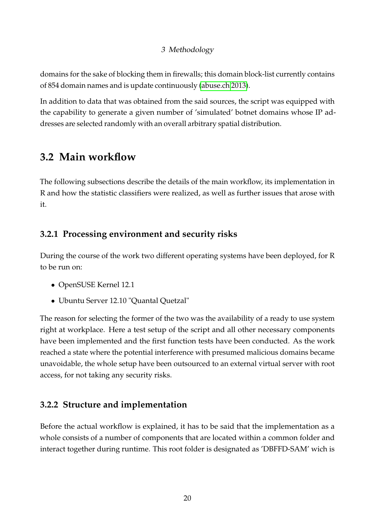domains for the sake of blocking them in firewalls; this domain block-list currently contains of 854 domain names and is update continuously [\(abuse.ch 2013\)](#page-51-5).

In addition to data that was obtained from the said sources, the script was equipped with the capability to generate a given number of 'simulated' botnet domains whose IP addresses are selected randomly with an overall arbitrary spatial distribution.

## <span id="page-25-0"></span>**3.2 Main workflow**

The following subsections describe the details of the main workflow, its implementation in R and how the statistic classifiers were realized, as well as further issues that arose with it.

### <span id="page-25-1"></span>**3.2.1 Processing environment and security risks**

During the course of the work two different operating systems have been deployed, for R to be run on:

- OpenSUSE Kernel 12.1
- Ubuntu Server 12.10 "Quantal Quetzal"

The reason for selecting the former of the two was the availability of a ready to use system right at workplace. Here a test setup of the script and all other necessary components have been implemented and the first function tests have been conducted. As the work reached a state where the potential interference with presumed malicious domains became unavoidable, the whole setup have been outsourced to an external virtual server with root access, for not taking any security risks.

### <span id="page-25-2"></span>**3.2.2 Structure and implementation**

Before the actual workflow is explained, it has to be said that the implementation as a whole consists of a number of components that are located within a common folder and interact together during runtime. This root folder is designated as 'DBFFD-SAM' wich is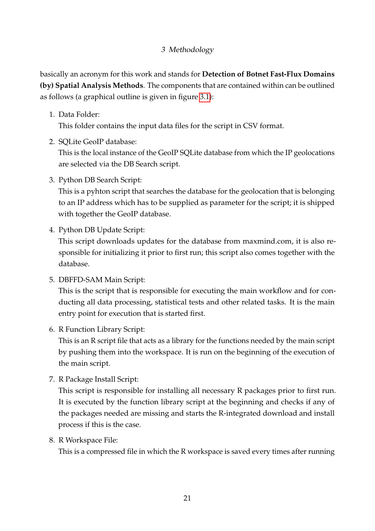basically an acronym for this work and stands for **Detection of Botnet Fast-Flux Domains (by) Spatial Analysis Methods**. The components that are contained within can be outlined as follows (a graphical outline is given in figure [3.1\)](#page-27-0):

1. Data Folder:

This folder contains the input data files for the script in CSV format.

2. SQLite GeoIP database:

This is the local instance of the GeoIP SQLite database from which the IP geolocations are selected via the DB Search script.

3. Python DB Search Script:

This is a pyhton script that searches the database for the geolocation that is belonging to an IP address which has to be supplied as parameter for the script; it is shipped with together the GeoIP database.

4. Python DB Update Script:

This script downloads updates for the database from maxmind.com, it is also responsible for initializing it prior to first run; this script also comes together with the database.

5. DBFFD-SAM Main Script:

This is the script that is responsible for executing the main workflow and for conducting all data processing, statistical tests and other related tasks. It is the main entry point for execution that is started first.

6. R Function Library Script:

This is an R script file that acts as a library for the functions needed by the main script by pushing them into the workspace. It is run on the beginning of the execution of the main script.

7. R Package Install Script:

This script is responsible for installing all necessary R packages prior to first run. It is executed by the function library script at the beginning and checks if any of the packages needed are missing and starts the R-integrated download and install process if this is the case.

8. R Workspace File:

This is a compressed file in which the R workspace is saved every times after running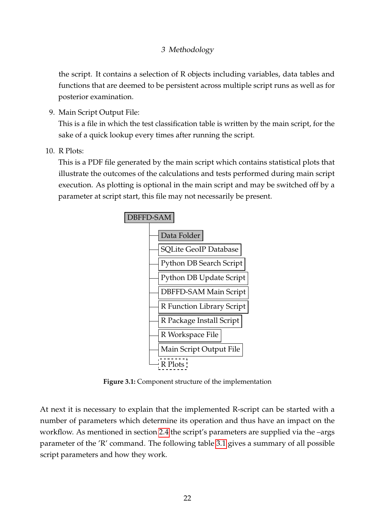the script. It contains a selection of R objects including variables, data tables and functions that are deemed to be persistent across multiple script runs as well as for posterior examination.

9. Main Script Output File:

This is a file in which the test classification table is written by the main script, for the sake of a quick lookup every times after running the script.

10. R Plots:

<span id="page-27-0"></span>This is a PDF file generated by the main script which contains statistical plots that illustrate the outcomes of the calculations and tests performed during main script execution. As plotting is optional in the main script and may be switched off by a parameter at script start, this file may not necessarily be present.



**Figure 3.1:** Component structure of the implementation

At next it is necessary to explain that the implemented R-script can be started with a number of parameters which determine its operation and thus have an impact on the workflow. As mentioned in section [2.4](#page-21-0) the script's parameters are supplied via the –args parameter of the 'R' command. The following table [3.1](#page-28-0) gives a summary of all possible script parameters and how they work.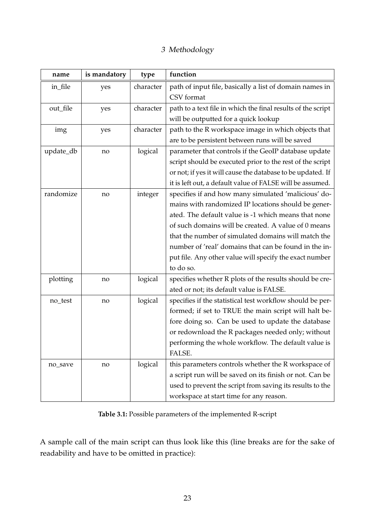<span id="page-28-0"></span>

| name      | is mandatory | type      | function                                                     |
|-----------|--------------|-----------|--------------------------------------------------------------|
| in_file   | yes          | character | path of input file, basically a list of domain names in      |
|           |              |           | CSV format                                                   |
| out_file  | yes          | character | path to a text file in which the final results of the script |
|           |              |           | will be outputted for a quick lookup                         |
| img       | yes          | character | path to the R workspace image in which objects that          |
|           |              |           | are to be persistent between runs will be saved              |
| update_db | no           | logical   | parameter that controls if the GeoIP database update         |
|           |              |           | script should be executed prior to the rest of the script    |
|           |              |           | or not; if yes it will cause the database to be updated. If  |
|           |              |           | it is left out, a default value of FALSE will be assumed.    |
| randomize | no           | integer   | specifies if and how many simulated 'malicious' do-          |
|           |              |           | mains with randomized IP locations should be gener-          |
|           |              |           | ated. The default value is -1 which means that none          |
|           |              |           | of such domains will be created. A value of 0 means          |
|           |              |           | that the number of simulated domains will match the          |
|           |              |           | number of 'real' domains that can be found in the in-        |
|           |              |           | put file. Any other value will specify the exact number      |
|           |              |           | to do so.                                                    |
| plotting  | no           | logical   | specifies whether R plots of the results should be cre-      |
|           |              |           | ated or not; its default value is FALSE.                     |
| no_test   | no           | logical   | specifies if the statistical test workflow should be per-    |
|           |              |           | formed; if set to TRUE the main script will halt be-         |
|           |              |           | fore doing so. Can be used to update the database            |
|           |              |           | or redownload the R packages needed only; without            |
|           |              |           | performing the whole workflow. The default value is          |
|           |              |           | FALSE.                                                       |
| no_save   | no           | logical   | this parameters controls whether the R workspace of          |
|           |              |           | a script run will be saved on its finish or not. Can be      |
|           |              |           | used to prevent the script from saving its results to the    |
|           |              |           | workspace at start time for any reason.                      |

**Table 3.1:** Possible parameters of the implemented R-script

A sample call of the main script can thus look like this (line breaks are for the sake of readability and have to be omitted in practice):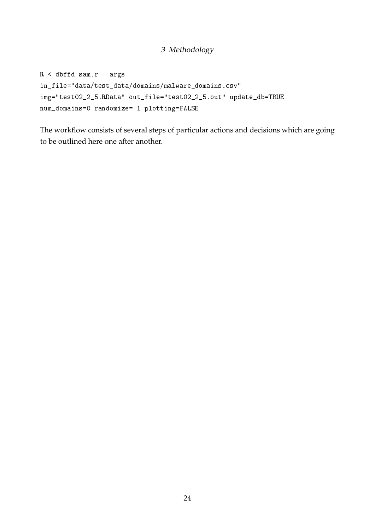$R < dbffd-sam.r --args$ in\_file="data/test\_data/domains/malware\_domains.csv" img="test02\_2\_5.RData" out\_file="test02\_2\_5.out" update\_db=TRUE num\_domains=0 randomize=-1 plotting=FALSE

The workflow consists of several steps of particular actions and decisions which are going to be outlined here one after another.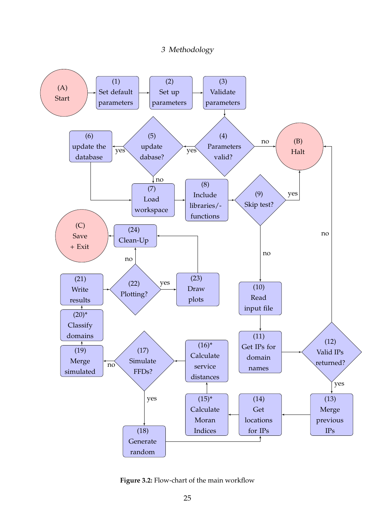<span id="page-30-0"></span>

**Figure 3.2:** Flow-chart of the main workflow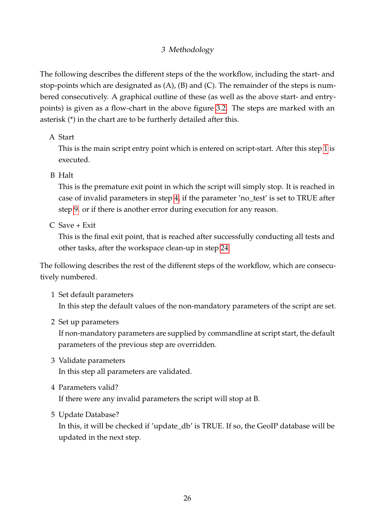The following describes the different steps of the the workflow, including the start- and stop-points which are designated as (A), (B) and (C). The remainder of the steps is numbered consecutively. A graphical outline of these (as well as the above start- and entrypoints) is given as a flow-chart in the above figure [3.2.](#page-30-0) The steps are marked with an asterisk (\*) in the chart are to be furtherly detailed after this.

#### A Start

This is the main script entry point which is entered on script-start. After this step [1](#page-31-0) is executed.

#### B Halt

This is the premature exit point in which the script will simply stop. It is reached in case of invalid parameters in step [4,](#page-31-1) if the parameter 'no\_test' is set to TRUE after step [9.](#page-32-0) or if there is another error during execution for any reason.

C Save + Exit

This is the final exit point, that is reached after successfully conducting all tests and other tasks, after the workspace clean-up in step [24.](#page-34-0)

The following describes the rest of the different steps of the workflow, which are consecutively numbered.

- <span id="page-31-0"></span>1 Set default parameters In this step the default values of the non-mandatory parameters of the script are set.
- 2 Set up parameters

If non-mandatory parameters are supplied by commandline at script start, the default parameters of the previous step are overridden.

- 3 Validate parameters In this step all parameters are validated.
- <span id="page-31-1"></span>4 Parameters valid?

If there were any invalid parameters the script will stop at B.

5 Update Database?

In this, it will be checked if 'update db' is TRUE. If so, the GeoIP database will be updated in the next step.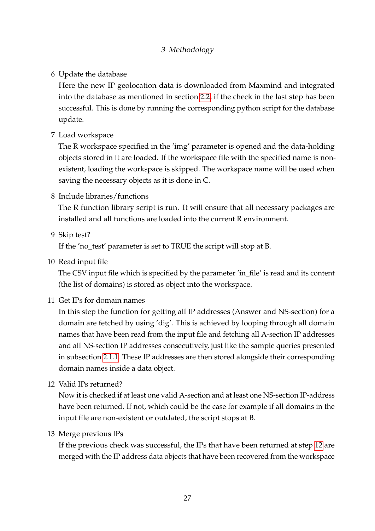#### 6 Update the database

Here the new IP geolocation data is downloaded from Maxmind and integrated into the database as mentioned in section [2.2,](#page-17-0) if the check in the last step has been successful. This is done by running the corresponding python script for the database update.

<span id="page-32-2"></span>7 Load workspace

The R workspace specified in the 'img' parameter is opened and the data-holding objects stored in it are loaded. If the workspace file with the specified name is nonexistent, loading the workspace is skipped. The workspace name will be used when saving the necessary objects as it is done in C.

8 Include libraries/functions

The R function library script is run. It will ensure that all necessary packages are installed and all functions are loaded into the current R environment.

<span id="page-32-0"></span>9 Skip test?

If the 'no\_test' parameter is set to TRUE the script will stop at B.

10 Read input file

The CSV input file which is specified by the parameter 'in\_file' is read and its content (the list of domains) is stored as object into the workspace.

11 Get IPs for domain names

In this step the function for getting all IP addresses (Answer and NS-section) for a domain are fetched by using 'dig'. This is achieved by looping through all domain names that have been read from the input file and fetching all A-section IP addresses and all NS-section IP addresses consecutively, just like the sample queries presented in subsection [2.1.1.](#page-12-2) These IP addresses are then stored alongside their corresponding domain names inside a data object.

<span id="page-32-1"></span>12 Valid IPs returned?

Now it is checked if at least one valid A-section and at least one NS-section IP-address have been returned. If not, which could be the case for example if all domains in the input file are non-existent or outdated, the script stops at B.

13 Merge previous IPs

If the previous check was successful, the IPs that have been returned at step [12](#page-32-1) are merged with the IP address data objects that have been recovered from the workspace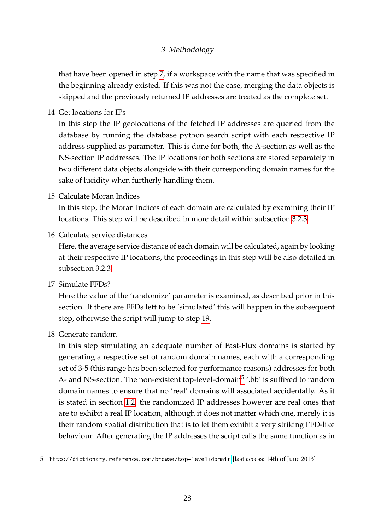that have been opened in step [7,](#page-32-2) if a workspace with the name that was specified in the beginning already existed. If this was not the case, merging the data objects is skipped and the previously returned IP addresses are treated as the complete set.

<span id="page-33-1"></span>14 Get locations for IPs

In this step the IP geolocations of the fetched IP addresses are queried from the database by running the database python search script with each respective IP address supplied as parameter. This is done for both, the A-section as well as the NS-section IP addresses. The IP locations for both sections are stored separately in two different data objects alongside with their corresponding domain names for the sake of lucidity when furtherly handling them.

<span id="page-33-2"></span>15 Calculate Moran Indices

In this step, the Moran Indices of each domain are calculated by examining their IP locations. This step will be described in more detail within subsection [3.2.3.](#page-35-0)

<span id="page-33-3"></span>16 Calculate service distances

Here, the average service distance of each domain will be calculated, again by looking at their respective IP locations, the proceedings in this step will be also detailed in subsection [3.2.3.](#page-35-0)

17 Simulate FFDs?

Here the value of the 'randomize' parameter is examined, as described prior in this section. If there are FFDs left to be 'simulated' this will happen in the subsequent step, otherwise the script will jump to step [19.](#page-34-1)

18 Generate random

In this step simulating an adequate number of Fast-Flux domains is started by generating a respective set of random domain names, each with a corresponding set of 3-5 (this range has been selected for performance reasons) addresses for both A- and NS-section. The non-existent top-level-domain<sup>[5](#page-33-0)</sup> '.bb' is suffixed to random domain names to ensure that no 'real' domains will associated accidentally. As it is stated in section [1.2,](#page-9-0) the randomized IP addresses however are real ones that are to exhibit a real IP location, although it does not matter which one, merely it is their random spatial distribution that is to let them exhibit a very striking FFD-like behaviour. After generating the IP addresses the script calls the same function as in

<span id="page-33-0"></span><sup>5</sup> <http://dictionary.reference.com/browse/top-level+domain> [last access: 14th of June 2013]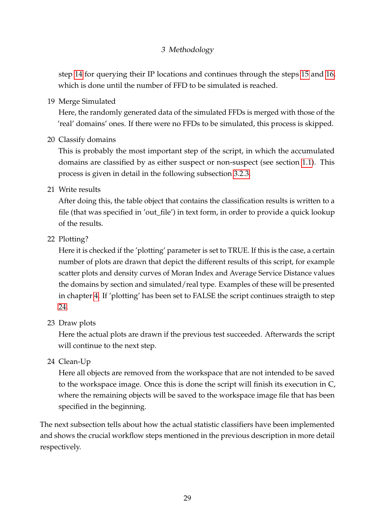step [14](#page-33-1) for querying their IP locations and continues through the steps [15](#page-33-2) and [16,](#page-33-3) which is done until the number of FFD to be simulated is reached.

<span id="page-34-1"></span>19 Merge Simulated

Here, the randomly generated data of the simulated FFDs is merged with those of the 'real' domains' ones. If there were no FFDs to be simulated, this process is skipped.

<span id="page-34-2"></span>20 Classify domains

This is probably the most important step of the script, in which the accumulated domains are classified by as either suspect or non-suspect (see section [1.1\)](#page-7-0). This process is given in detail in the following subsection [3.2.3.](#page-35-0)

21 Write results

After doing this, the table object that contains the classification results is written to a file (that was specified in 'out\_file') in text form, in order to provide a quick lookup of the results.

22 Plotting?

Here it is checked if the 'plotting' parameter is set to TRUE. If this is the case, a certain number of plots are drawn that depict the different results of this script, for example scatter plots and density curves of Moran Index and Average Service Distance values the domains by section and simulated/real type. Examples of these will be presented in chapter [4.](#page-38-0) If 'plotting' has been set to FALSE the script continues straigth to step [24.](#page-34-0)

23 Draw plots

Here the actual plots are drawn if the previous test succeeded. Afterwards the script will continue to the next step.

<span id="page-34-0"></span>24 Clean-Up

Here all objects are removed from the workspace that are not intended to be saved to the workspace image. Once this is done the script will finish its execution in C, where the remaining objects will be saved to the workspace image file that has been specified in the beginning.

The next subsection tells about how the actual statistic classifiers have been implemented and shows the crucial workflow steps mentioned in the previous description in more detail respectively.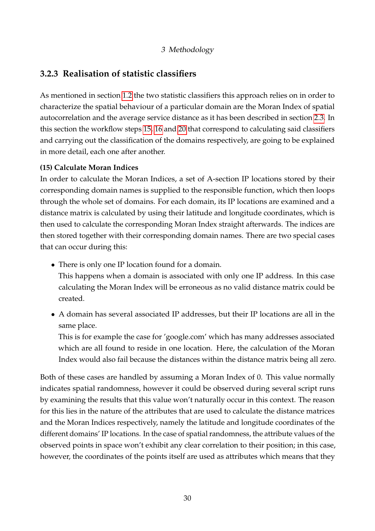#### <span id="page-35-0"></span>**3.2.3 Realisation of statistic classifiers**

As mentioned in section [1.2](#page-9-0) the two statistic classifiers this approach relies on in order to characterize the spatial behaviour of a particular domain are the Moran Index of spatial autocorrelation and the average service distance as it has been described in section [2.3.](#page-18-0) In this section the workflow steps [15,](#page-33-2) [16](#page-33-3) and [20](#page-34-2) that correspond to calculating said classifiers and carrying out the classification of the domains respectively, are going to be explained in more detail, each one after another.

#### **(15) Calculate Moran Indices**

In order to calculate the Moran Indices, a set of A-section IP locations stored by their corresponding domain names is supplied to the responsible function, which then loops through the whole set of domains. For each domain, its IP locations are examined and a distance matrix is calculated by using their latitude and longitude coordinates, which is then used to calculate the corresponding Moran Index straight afterwards. The indices are then stored together with their corresponding domain names. There are two special cases that can occur during this:

- There is only one IP location found for a domain.
- This happens when a domain is associated with only one IP address. In this case calculating the Moran Index will be erroneous as no valid distance matrix could be created.
- A domain has several associated IP addresses, but their IP locations are all in the same place.

This is for example the case for 'google.com' which has many addresses associated which are all found to reside in one location. Here, the calculation of the Moran Index would also fail because the distances within the distance matrix being all zero.

Both of these cases are handled by assuming a Moran Index of 0. This value normally indicates spatial randomness, however it could be observed during several script runs by examining the results that this value won't naturally occur in this context. The reason for this lies in the nature of the attributes that are used to calculate the distance matrices and the Moran Indices respectively, namely the latitude and longitude coordinates of the different domains' IP locations. In the case of spatial randomness, the attribute values of the observed points in space won't exhibit any clear correlation to their position; in this case, however, the coordinates of the points itself are used as attributes which means that they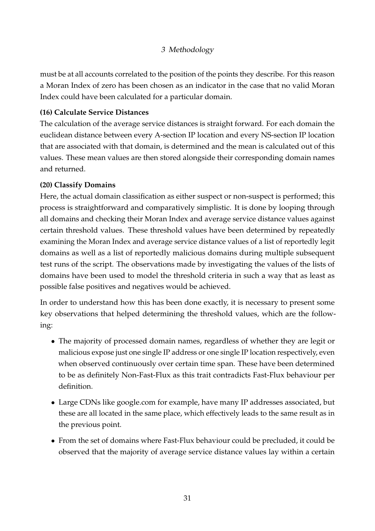must be at all accounts correlated to the position of the points they describe. For this reason a Moran Index of zero has been chosen as an indicator in the case that no valid Moran Index could have been calculated for a particular domain.

#### **(16) Calculate Service Distances**

The calculation of the average service distances is straight forward. For each domain the euclidean distance between every A-section IP location and every NS-section IP location that are associated with that domain, is determined and the mean is calculated out of this values. These mean values are then stored alongside their corresponding domain names and returned.

#### **(20) Classify Domains**

Here, the actual domain classification as either suspect or non-suspect is performed; this process is straightforward and comparatively simplistic. It is done by looping through all domains and checking their Moran Index and average service distance values against certain threshold values. These threshold values have been determined by repeatedly examining the Moran Index and average service distance values of a list of reportedly legit domains as well as a list of reportedly malicious domains during multiple subsequent test runs of the script. The observations made by investigating the values of the lists of domains have been used to model the threshold criteria in such a way that as least as possible false positives and negatives would be achieved.

In order to understand how this has been done exactly, it is necessary to present some key observations that helped determining the threshold values, which are the following:

- The majority of processed domain names, regardless of whether they are legit or malicious expose just one single IP address or one single IP location respectively, even when observed continuously over certain time span. These have been determined to be as definitely Non-Fast-Flux as this trait contradicts Fast-Flux behaviour per definition.
- Large CDNs like google.com for example, have many IP addresses associated, but these are all located in the same place, which effectively leads to the same result as in the previous point.
- From the set of domains where Fast-Flux behaviour could be precluded, it could be observed that the majority of average service distance values lay within a certain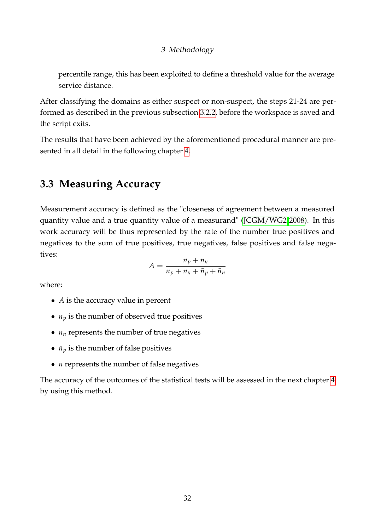percentile range, this has been exploited to define a threshold value for the average service distance.

After classifying the domains as either suspect or non-suspect, the steps 21-24 are performed as described in the previous subsection [3.2.2,](#page-25-2) before the workspace is saved and the script exits.

The results that have been achieved by the aforementioned procedural manner are presented in all detail in the following chapter [4.](#page-38-0)

### <span id="page-37-0"></span>**3.3 Measuring Accuracy**

Measurement accuracy is defined as the "closeness of agreement between a measured quantity value and a true quantity value of a measurand" [\(JCGM/WG2 2008\)](#page-51-12). In this work accuracy will be thus represented by the rate of the number true positives and negatives to the sum of true positives, true negatives, false positives and false negatives:

$$
A = \frac{n_p + n_n}{n_p + n_n + \bar{n}_p + \bar{n}_n}
$$

where:

- *A* is the accuracy value in percent
- $n_p$  is the number of observed true positives
- $n_n$  represents the number of true negatives
- $\bar{n}_v$  is the number of false positives
- *n* represents the number of false negatives

The accuracy of the outcomes of the statistical tests will be assessed in the next chapter [4](#page-38-0) by using this method.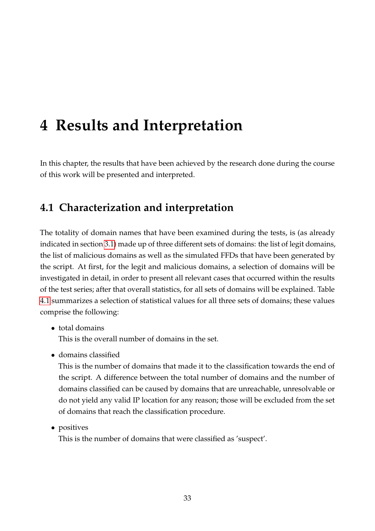<span id="page-38-0"></span>In this chapter, the results that have been achieved by the research done during the course of this work will be presented and interpreted.

## <span id="page-38-1"></span>**4.1 Characterization and interpretation**

The totality of domain names that have been examined during the tests, is (as already indicated in section [3.1\)](#page-23-1) made up of three different sets of domains: the list of legit domains, the list of malicious domains as well as the simulated FFDs that have been generated by the script. At first, for the legit and malicious domains, a selection of domains will be investigated in detail, in order to present all relevant cases that occurred within the results of the test series; after that overall statistics, for all sets of domains will be explained. Table [4.1](#page-39-0) summarizes a selection of statistical values for all three sets of domains; these values comprise the following:

• total domains

This is the overall number of domains in the set.

• domains classified

This is the number of domains that made it to the classification towards the end of the script. A difference between the total number of domains and the number of domains classified can be caused by domains that are unreachable, unresolvable or do not yield any valid IP location for any reason; those will be excluded from the set of domains that reach the classification procedure.

• positives

This is the number of domains that were classified as 'suspect'.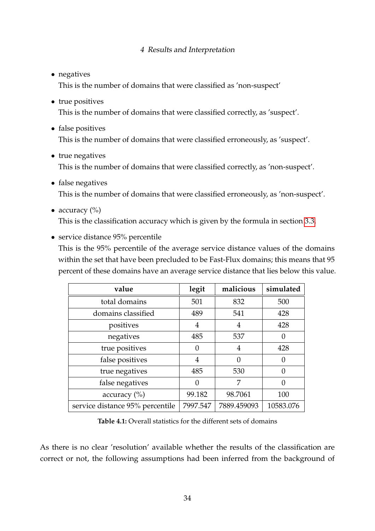• negatives

This is the number of domains that were classified as 'non-suspect'

- true positives This is the number of domains that were classified correctly, as 'suspect'.
- false positives This is the number of domains that were classified erroneously, as 'suspect'.
- true negatives This is the number of domains that were classified correctly, as 'non-suspect'.
- false negatives This is the number of domains that were classified erroneously, as 'non-suspect'.
- accuracy  $(\%)$ This is the classification accuracy which is given by the formula in section [3.3.](#page-37-0)
- service distance 95% percentile This is the 95% percentile of the average service distance values of the domains within the set that have been precluded to be Fast-Flux domains; this means that 95 percent of these domains have an average service distance that lies below this value.

<span id="page-39-0"></span>

| value                           | legit    | malicious   | simulated |
|---------------------------------|----------|-------------|-----------|
| total domains                   | 501      | 832         | 500       |
| domains classified              | 489      | 541         | 428       |
| positives                       | 4        | 4           | 428       |
| negatives                       | 485      | 537         | 0         |
| true positives                  | 0        | 4           | 428       |
| false positives                 | 4        | 0           | 0         |
| true negatives                  | 485      | 530         | $\Omega$  |
| false negatives                 | 0        | 7           | 0         |
| accuracy $(\%)$                 | 99.182   | 98.7061     | 100       |
| service distance 95% percentile | 7997.547 | 7889.459093 | 10583.076 |

**Table 4.1:** Overall statistics for the different sets of domains

As there is no clear 'resolution' available whether the results of the classification are correct or not, the following assumptions had been inferred from the background of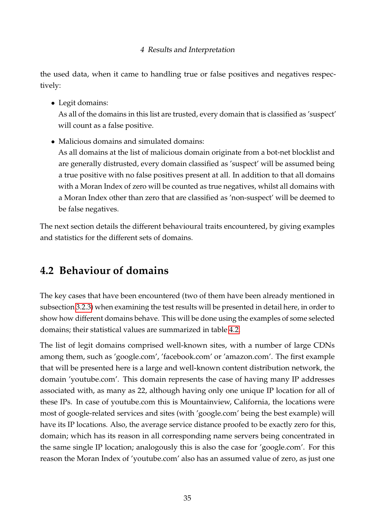the used data, when it came to handling true or false positives and negatives respectively:

• Legit domains:

As all of the domains in this list are trusted, every domain that is classified as 'suspect' will count as a false positive.

• Malicious domains and simulated domains:

As all domains at the list of malicious domain originate from a bot-net blocklist and are generally distrusted, every domain classified as 'suspect' will be assumed being a true positive with no false positives present at all. In addition to that all domains with a Moran Index of zero will be counted as true negatives, whilst all domains with a Moran Index other than zero that are classified as 'non-suspect' will be deemed to be false negatives.

The next section details the different behavioural traits encountered, by giving examples and statistics for the different sets of domains.

## <span id="page-40-0"></span>**4.2 Behaviour of domains**

The key cases that have been encountered (two of them have been already mentioned in subsection [3.2.3\)](#page-35-0) when examining the test results will be presented in detail here, in order to show how different domains behave. This will be done using the examples of some selected domains; their statistical values are summarized in table [4.2.](#page-42-0)

The list of legit domains comprised well-known sites, with a number of large CDNs among them, such as 'google.com', 'facebook.com' or 'amazon.com'. The first example that will be presented here is a large and well-known content distribution network, the domain 'youtube.com'. This domain represents the case of having many IP addresses associated with, as many as 22, although having only one unique IP location for all of these IPs. In case of youtube.com this is Mountainview, California, the locations were most of google-related services and sites (with 'google.com' being the best example) will have its IP locations. Also, the average service distance proofed to be exactly zero for this, domain; which has its reason in all corresponding name servers being concentrated in the same single IP location; analogously this is also the case for 'google.com'. For this reason the Moran Index of 'youtube.com' also has an assumed value of zero, as just one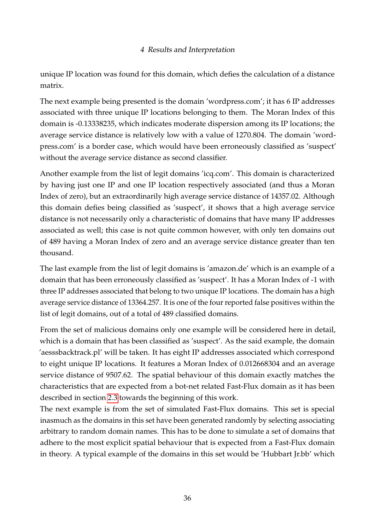unique IP location was found for this domain, which defies the calculation of a distance matrix.

The next example being presented is the domain 'wordpress.com'; it has 6 IP addresses associated with three unique IP locations belonging to them. The Moran Index of this domain is -0.13338235, which indicates moderate dispersion among its IP locations; the average service distance is relatively low with a value of 1270.804. The domain 'wordpress.com' is a border case, which would have been erroneously classified as 'suspect' without the average service distance as second classifier.

Another example from the list of legit domains 'icq.com'. This domain is characterized by having just one IP and one IP location respectively associated (and thus a Moran Index of zero), but an extraordinarily high average service distance of 14357.02. Although this domain defies being classified as 'suspect', it shows that a high average service distance is not necessarily only a characteristic of domains that have many IP addresses associated as well; this case is not quite common however, with only ten domains out of 489 having a Moran Index of zero and an average service distance greater than ten thousand.

The last example from the list of legit domains is 'amazon.de' which is an example of a domain that has been erroneously classified as 'suspect'. It has a Moran Index of -1 with three IP addresses associated that belong to two unique IP locations. The domain has a high average service distance of 13364.257. It is one of the four reported false positives within the list of legit domains, out of a total of 489 classified domains.

From the set of malicious domains only one example will be considered here in detail, which is a domain that has been classified as 'suspect'. As the said example, the domain 'aesssbacktrack.pl' will be taken. It has eight IP addresses associated which correspond to eight unique IP locations. It features a Moran Index of 0.012668304 and an average service distance of 9507.62. The spatial behaviour of this domain exactly matches the characteristics that are expected from a bot-net related Fast-Flux domain as it has been described in section [2.3](#page-18-0) towards the beginning of this work.

The next example is from the set of simulated Fast-Flux domains. This set is special inasmuch as the domains in this set have been generated randomly by selecting associating arbitrary to random domain names. This has to be done to simulate a set of domains that adhere to the most explicit spatial behaviour that is expected from a Fast-Flux domain in theory. A typical example of the domains in this set would be 'Hubbart Jr.bb' which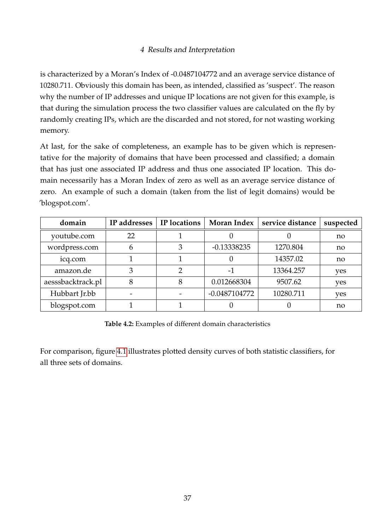is characterized by a Moran's Index of -0.0487104772 and an average service distance of 10280.711. Obviously this domain has been, as intended, classified as 'suspect'. The reason why the number of IP addresses and unique IP locations are not given for this example, is that during the simulation process the two classifier values are calculated on the fly by randomly creating IPs, which are the discarded and not stored, for not wasting working memory.

At last, for the sake of completeness, an example has to be given which is representative for the majority of domains that have been processed and classified; a domain that has just one associated IP address and thus one associated IP location. This domain necessarily has a Moran Index of zero as well as an average service distance of zero. An example of such a domain (taken from the list of legit domains) would be 'blogspot.com'.

<span id="page-42-0"></span>

| domain            | IP addresses | IP locations | <b>Moran Index</b> | service distance | suspected |
|-------------------|--------------|--------------|--------------------|------------------|-----------|
| youtube.com       | 22           |              |                    |                  | no        |
| wordpress.com     |              |              | $-0.13338235$      | 1270.804         | no        |
| icq.com           |              |              |                    | 14357.02         | no        |
| amazon.de         |              | っ            |                    | 13364.257        | yes       |
| aesssbacktrack.pl | 8            | 8            | 0.012668304        | 9507.62          | yes       |
| Hubbart Jr.bb     |              |              | $-0.0487104772$    | 10280.711        | yes       |
| blogspot.com      |              |              |                    |                  | no        |

**Table 4.2:** Examples of different domain characteristics

For comparison, figure [4.1](#page-43-0) illustrates plotted density curves of both statistic classifiers, for all three sets of domains.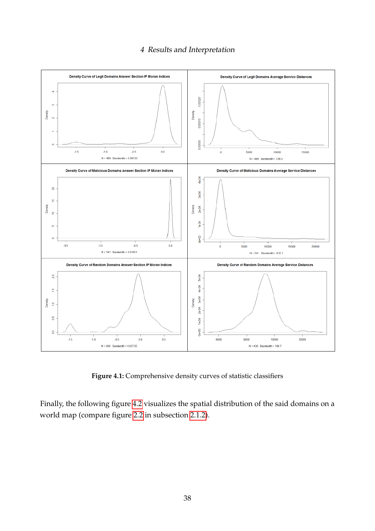<span id="page-43-0"></span>

**Figure 4.1:** Comprehensive density curves of statistic classifiers

Finally, the following figure [4.2](#page-44-1) visualizes the spatial distribution of the said domains on a world map (compare figure [2.2](#page-20-0) in subsection [2.1.2\)](#page-15-0).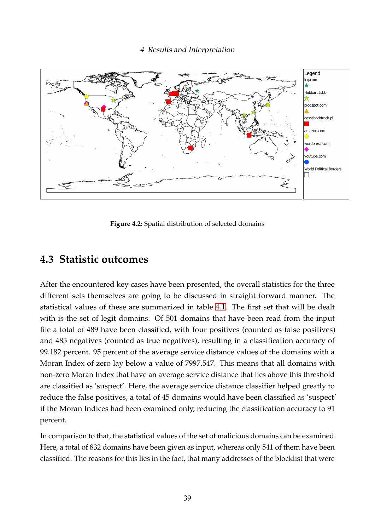<span id="page-44-1"></span>![](_page_44_Figure_1.jpeg)

**Figure 4.2:** Spatial distribution of selected domains

### <span id="page-44-0"></span>**4.3 Statistic outcomes**

After the encountered key cases have been presented, the overall statistics for the three different sets themselves are going to be discussed in straight forward manner. The statistical values of these are summarized in table [4.1.](#page-39-0) The first set that will be dealt with is the set of legit domains. Of 501 domains that have been read from the input file a total of 489 have been classified, with four positives (counted as false positives) and 485 negatives (counted as true negatives), resulting in a classification accuracy of 99.182 percent. 95 percent of the average service distance values of the domains with a Moran Index of zero lay below a value of 7997.547. This means that all domains with non-zero Moran Index that have an average service distance that lies above this threshold are classified as 'suspect'. Here, the average service distance classifier helped greatly to reduce the false positives, a total of 45 domains would have been classified as 'suspect' if the Moran Indices had been examined only, reducing the classification accuracy to 91 percent.

In comparison to that, the statistical values of the set of malicious domains can be examined. Here, a total of 832 domains have been given as input, whereas only 541 of them have been classified. The reasons for this lies in the fact, that many addresses of the blocklist that were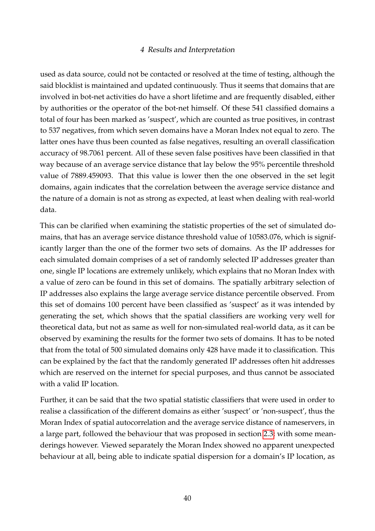used as data source, could not be contacted or resolved at the time of testing, although the said blocklist is maintained and updated continuously. Thus it seems that domains that are involved in bot-net activities do have a short lifetime and are frequently disabled, either by authorities or the operator of the bot-net himself. Of these 541 classified domains a total of four has been marked as 'suspect', which are counted as true positives, in contrast to 537 negatives, from which seven domains have a Moran Index not equal to zero. The latter ones have thus been counted as false negatives, resulting an overall classification accuracy of 98.7061 percent. All of these seven false positives have been classified in that way because of an average service distance that lay below the 95% percentile threshold value of 7889.459093. That this value is lower then the one observed in the set legit domains, again indicates that the correlation between the average service distance and the nature of a domain is not as strong as expected, at least when dealing with real-world data.

This can be clarified when examining the statistic properties of the set of simulated domains, that has an average service distance threshold value of 10583.076, which is significantly larger than the one of the former two sets of domains. As the IP addresses for each simulated domain comprises of a set of randomly selected IP addresses greater than one, single IP locations are extremely unlikely, which explains that no Moran Index with a value of zero can be found in this set of domains. The spatially arbitrary selection of IP addresses also explains the large average service distance percentile observed. From this set of domains 100 percent have been classified as 'suspect' as it was intended by generating the set, which shows that the spatial classifiers are working very well for theoretical data, but not as same as well for non-simulated real-world data, as it can be observed by examining the results for the former two sets of domains. It has to be noted that from the total of 500 simulated domains only 428 have made it to classification. This can be explained by the fact that the randomly generated IP addresses often hit addresses which are reserved on the internet for special purposes, and thus cannot be associated with a valid IP location.

Further, it can be said that the two spatial statistic classifiers that were used in order to realise a classification of the different domains as either 'suspect' or 'non-suspect', thus the Moran Index of spatial autocorrelation and the average service distance of nameservers, in a large part, followed the behaviour that was proposed in section [2.3;](#page-18-0) with some meanderings however. Viewed separately the Moran Index showed no apparent unexpected behaviour at all, being able to indicate spatial dispersion for a domain's IP location, as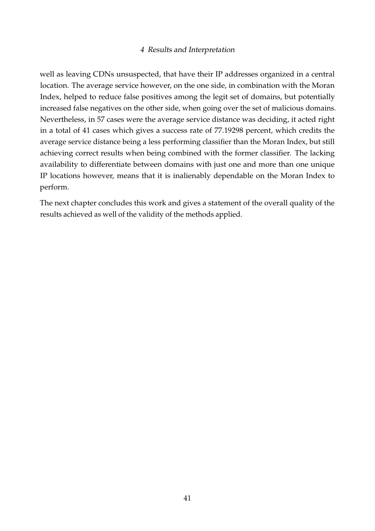well as leaving CDNs unsuspected, that have their IP addresses organized in a central location. The average service however, on the one side, in combination with the Moran Index, helped to reduce false positives among the legit set of domains, but potentially increased false negatives on the other side, when going over the set of malicious domains. Nevertheless, in 57 cases were the average service distance was deciding, it acted right in a total of 41 cases which gives a success rate of 77.19298 percent, which credits the average service distance being a less performing classifier than the Moran Index, but still achieving correct results when being combined with the former classifier. The lacking availability to differentiate between domains with just one and more than one unique IP locations however, means that it is inalienably dependable on the Moran Index to perform.

The next chapter concludes this work and gives a statement of the overall quality of the results achieved as well of the validity of the methods applied.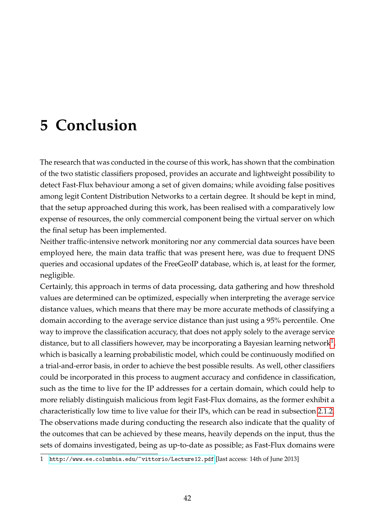## <span id="page-47-0"></span>**5 Conclusion**

The research that was conducted in the course of this work, has shown that the combination of the two statistic classifiers proposed, provides an accurate and lightweight possibility to detect Fast-Flux behaviour among a set of given domains; while avoiding false positives among legit Content Distribution Networks to a certain degree. It should be kept in mind, that the setup approached during this work, has been realised with a comparatively low expense of resources, the only commercial component being the virtual server on which the final setup has been implemented.

Neither traffic-intensive network monitoring nor any commercial data sources have been employed here, the main data traffic that was present here, was due to frequent DNS queries and occasional updates of the FreeGeoIP database, which is, at least for the former, negligible.

Certainly, this approach in terms of data processing, data gathering and how threshold values are determined can be optimized, especially when interpreting the average service distance values, which means that there may be more accurate methods of classifying a domain according to the average service distance than just using a 95% percentile. One way to improve the classification accuracy, that does not apply solely to the average service distance, but to all classifiers however, may be incorporating a Bayesian learning network<sup>[1](#page-47-1)</sup>, which is basically a learning probabilistic model, which could be continuously modified on a trial-and-error basis, in order to achieve the best possible results. As well, other classifiers could be incorporated in this process to augment accuracy and confidence in classification, such as the time to live for the IP addresses for a certain domain, which could help to more reliably distinguish malicious from legit Fast-Flux domains, as the former exhibit a characteristically low time to live value for their IPs, which can be read in subsection [2.1.2.](#page-15-0) The observations made during conducting the research also indicate that the quality of the outcomes that can be achieved by these means, heavily depends on the input, thus the sets of domains investigated, being as up-to-date as possible; as Fast-Flux domains were

<span id="page-47-1"></span><sup>1</sup> <http://www.ee.columbia.edu/~vittorio/Lecture12.pdf> [last access: 14th of June 2013]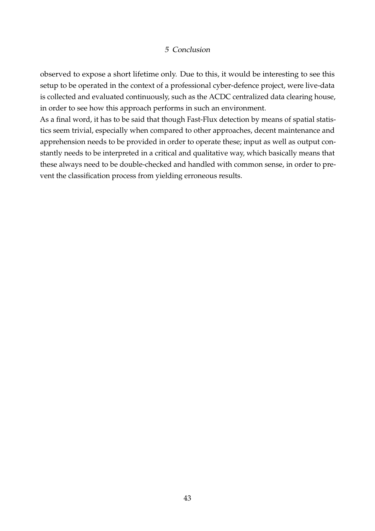#### 5 Conclusion

observed to expose a short lifetime only. Due to this, it would be interesting to see this setup to be operated in the context of a professional cyber-defence project, were live-data is collected and evaluated continuously, such as the ACDC centralized data clearing house, in order to see how this approach performs in such an environment.

As a final word, it has to be said that though Fast-Flux detection by means of spatial statistics seem trivial, especially when compared to other approaches, decent maintenance and apprehension needs to be provided in order to operate these; input as well as output constantly needs to be interpreted in a critical and qualitative way, which basically means that these always need to be double-checked and handled with common sense, in order to prevent the classification process from yielding erroneous results.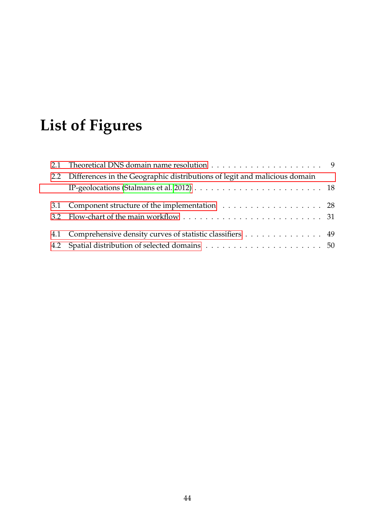# <span id="page-49-0"></span>**List of Figures**

| 2.2 Differences in the Geographic distributions of legit and malicious domain                                     |  |
|-------------------------------------------------------------------------------------------------------------------|--|
| IP-geolocations (Stalmans et al. 2012) $\ldots \ldots \ldots \ldots \ldots \ldots \ldots \ldots \ldots \ldots$ 18 |  |
| 3.1 Component structure of the implementation 28                                                                  |  |
|                                                                                                                   |  |
| 4.1 Comprehensive density curves of statistic classifiers 49                                                      |  |
|                                                                                                                   |  |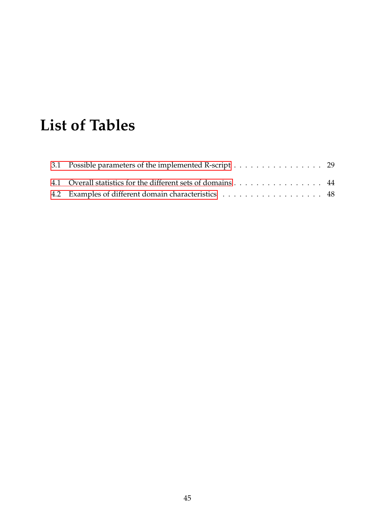## <span id="page-50-0"></span>**List of Tables**

| 3.1 Possible parameters of the implemented R-script 29      |  |
|-------------------------------------------------------------|--|
| 4.1 Overall statistics for the different sets of domains 44 |  |
| 4.2 Examples of different domain characteristics 48         |  |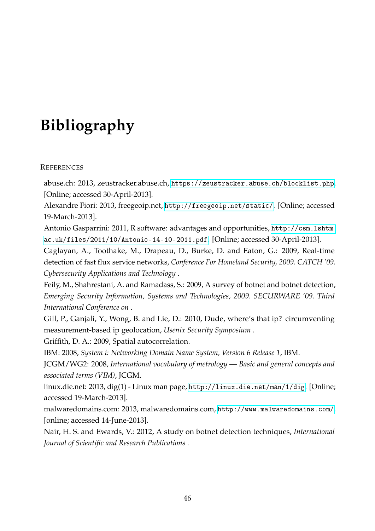## <span id="page-51-0"></span>**Bibliography**

#### **REFERENCES**

<span id="page-51-5"></span>abuse.ch: 2013, zeustracker.abuse.ch, <https://zeustracker.abuse.ch/blocklist.php>. [Online; accessed 30-April-2013].

<span id="page-51-7"></span>Alexandre Fiori: 2013, freegeoip.net, <http://freegeoip.net/static/>. [Online; accessed 19-March-2013].

<span id="page-51-3"></span>Antonio Gasparrini: 2011, R software: advantages and opportunities, [http://csm.lshtm.](http://csm.lshtm.ac.uk/files/2011/10/Antonio-14-10-2011.pdf) [ac.uk/files/2011/10/Antonio-14-10-2011.pdf](http://csm.lshtm.ac.uk/files/2011/10/Antonio-14-10-2011.pdf). [Online; accessed 30-April-2013].

<span id="page-51-9"></span>Caglayan, A., Toothake, M., Drapeau, D., Burke, D. and Eaton, G.: 2009, Real-time detection of fast flux service networks, *Conference For Homeland Security, 2009. CATCH '09. Cybersecurity Applications and Technology* .

<span id="page-51-1"></span>Feily, M., Shahrestani, A. and Ramadass, S.: 2009, A survey of botnet and botnet detection, *Emerging Security Information, Systems and Technologies, 2009. SECURWARE '09. Third International Conference on* .

<span id="page-51-10"></span>Gill, P., Ganjali, Y., Wong, B. and Lie, D.: 2010, Dude, where's that ip? circumventing measurement-based ip geolocation, *Usenix Security Symposium* .

<span id="page-51-11"></span>Griffith, D. A.: 2009, Spatial autocorrelation.

<span id="page-51-8"></span>IBM: 2008, *System i: Networking Domain Name System, Version 6 Release 1*, IBM.

<span id="page-51-12"></span>JCGM/WG2: 2008, *International vocabulary of metrology — Basic and general concepts and associated terms (VIM)*, JCGM.

<span id="page-51-6"></span>linux.die.net: 2013, dig(1) - Linux man page, <http://linux.die.net/man/1/dig>. [Online; accessed 19-March-2013].

<span id="page-51-4"></span>malwaredomains.com: 2013, malwaredomains.com, <http://www.malwaredomains.com/>. [online; accessed 14-June-2013].

<span id="page-51-2"></span>Nair, H. S. and Ewards, V.: 2012, A study on botnet detection techniques, *International Journal of Scientific and Research Publications* .